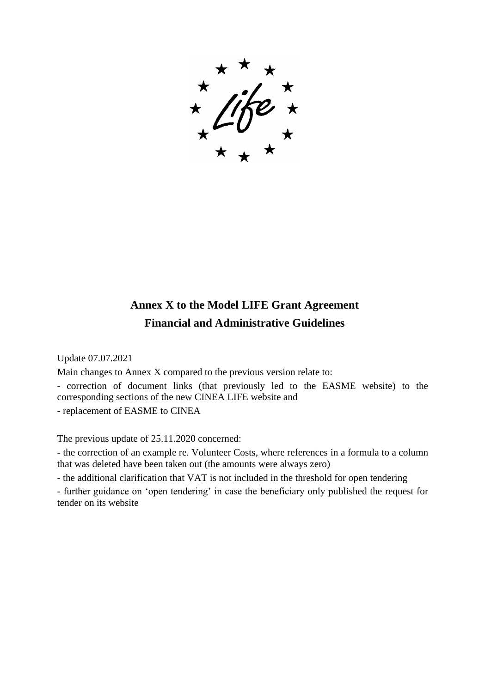$\star \frac{\star \star \star}{\star \text{#}}$ 

# **Annex X to the Model LIFE Grant Agreement Financial and Administrative Guidelines**

Update 07.07.2021

Main changes to Annex X compared to the previous version relate to:

- correction of document links (that previously led to the EASME website) to the corresponding sections of the new CINEA LIFE website and

- replacement of EASME to CINEA

The previous update of 25.11.2020 concerned:

- the correction of an example re. Volunteer Costs, where references in a formula to a column that was deleted have been taken out (the amounts were always zero)

- the additional clarification that VAT is not included in the threshold for open tendering

- further guidance on 'open tendering' in case the beneficiary only published the request for tender on its website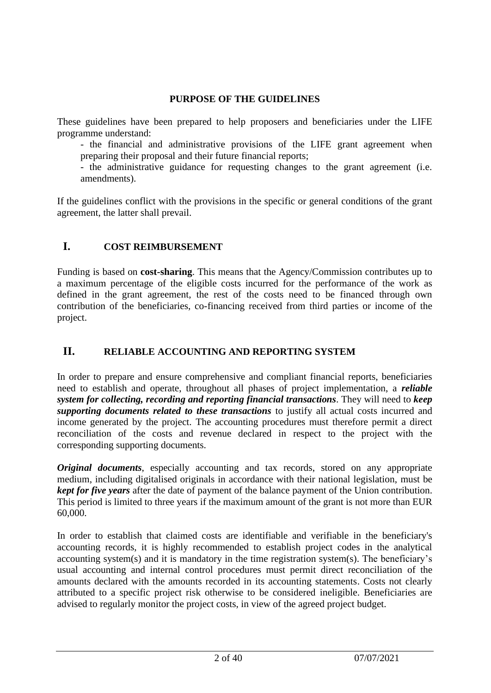### **PURPOSE OF THE GUIDELINES**

These guidelines have been prepared to help proposers and beneficiaries under the LIFE programme understand:

- the financial and administrative provisions of the LIFE grant agreement when preparing their proposal and their future financial reports;

- the administrative guidance for requesting changes to the grant agreement (i.e. amendments).

If the guidelines conflict with the provisions in the specific or general conditions of the grant agreement, the latter shall prevail.

## **I. COST REIMBURSEMENT**

Funding is based on **cost-sharing**. This means that the Agency/Commission contributes up to a maximum percentage of the eligible costs incurred for the performance of the work as defined in the grant agreement, the rest of the costs need to be financed through own contribution of the beneficiaries, co-financing received from third parties or income of the project.

## **II. RELIABLE ACCOUNTING AND REPORTING SYSTEM**

In order to prepare and ensure comprehensive and compliant financial reports, beneficiaries need to establish and operate, throughout all phases of project implementation, a *reliable system for collecting, recording and reporting financial transactions*. They will need to *keep supporting documents related to these transactions* to justify all actual costs incurred and income generated by the project. The accounting procedures must therefore permit a direct reconciliation of the costs and revenue declared in respect to the project with the corresponding supporting documents.

*Original documents*, especially accounting and tax records, stored on any appropriate medium, including digitalised originals in accordance with their national legislation, must be *kept for five years* after the date of payment of the balance payment of the Union contribution. This period is limited to three years if the maximum amount of the grant is not more than EUR 60,000.

In order to establish that claimed costs are identifiable and verifiable in the beneficiary's accounting records, it is highly recommended to establish project codes in the analytical accounting system(s) and it is mandatory in the time registration system(s). The beneficiary's usual accounting and internal control procedures must permit direct reconciliation of the amounts declared with the amounts recorded in its accounting statements. Costs not clearly attributed to a specific project risk otherwise to be considered ineligible. Beneficiaries are advised to regularly monitor the project costs, in view of the agreed project budget.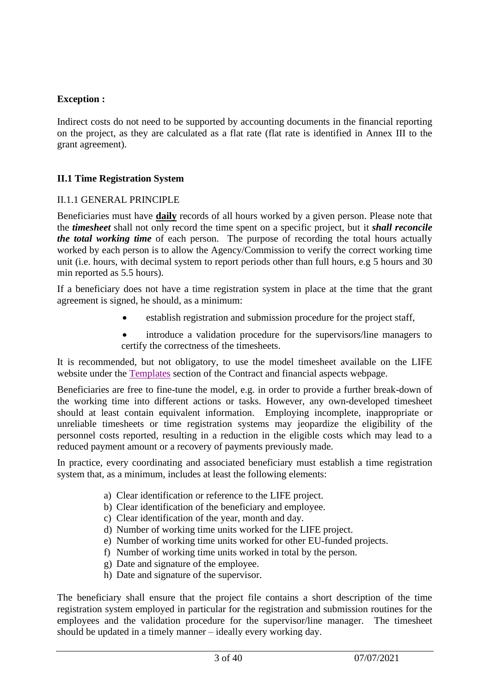### **Exception :**

Indirect costs do not need to be supported by accounting documents in the financial reporting on the project, as they are calculated as a flat rate (flat rate is identified in Annex III to the grant agreement).

### **II.1 Time Registration System**

#### II.1.1 GENERAL PRINCIPLE

Beneficiaries must have **daily** records of all hours worked by a given person. Please note that the *timesheet* shall not only record the time spent on a specific project, but it *shall reconcile the total working time* of each person. The purpose of recording the total hours actually worked by each person is to allow the Agency/Commission to verify the correct working time unit (i.e. hours, with decimal system to report periods other than full hours, e.g 5 hours and 30 min reported as 5.5 hours).

If a beneficiary does not have a time registration system in place at the time that the grant agreement is signed, he should, as a minimum:

- establish registration and submission procedure for the project staff,
- introduce a validation procedure for the supervisors/line managers to certify the correctness of the timesheets.

It is recommended, but not obligatory, to use the model timesheet available on the LIFE website under the [Templates](https://cinea.ec.europa.eu/life/contract-and-financial-aspects_en#ecl-inpage-746) section of the Contract and financial aspects webpage.

Beneficiaries are free to fine-tune the model, e.g. in order to provide a further break-down of the working time into different actions or tasks. However, any own-developed timesheet should at least contain equivalent information. Employing incomplete, inappropriate or unreliable timesheets or time registration systems may jeopardize the eligibility of the personnel costs reported, resulting in a reduction in the eligible costs which may lead to a reduced payment amount or a recovery of payments previously made.

In practice, every coordinating and associated beneficiary must establish a time registration system that, as a minimum, includes at least the following elements:

- a) Clear identification or reference to the LIFE project.
- b) Clear identification of the beneficiary and employee.
- c) Clear identification of the year, month and day.
- d) Number of working time units worked for the LIFE project.
- e) Number of working time units worked for other EU-funded projects.
- f) Number of working time units worked in total by the person.
- g) Date and signature of the employee.
- h) Date and signature of the supervisor.

The beneficiary shall ensure that the project file contains a short description of the time registration system employed in particular for the registration and submission routines for the employees and the validation procedure for the supervisor/line manager. The timesheet should be updated in a timely manner – ideally every working day.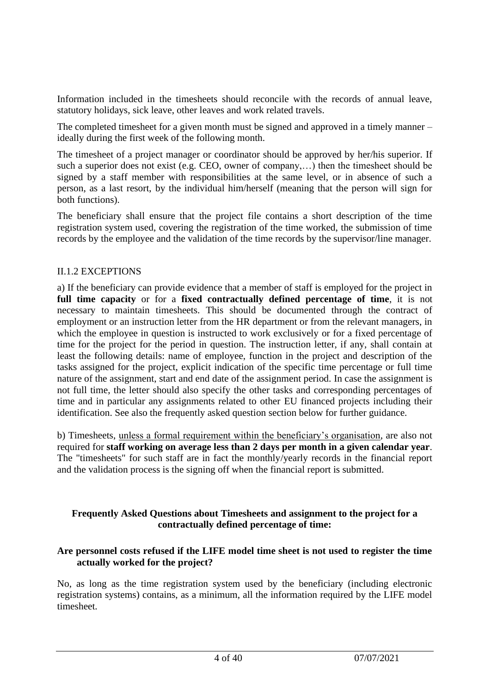Information included in the timesheets should reconcile with the records of annual leave, statutory holidays, sick leave, other leaves and work related travels.

The completed timesheet for a given month must be signed and approved in a timely manner – ideally during the first week of the following month.

The timesheet of a project manager or coordinator should be approved by her/his superior. If such a superior does not exist (e.g. CEO, owner of company,…) then the timesheet should be signed by a staff member with responsibilities at the same level, or in absence of such a person, as a last resort, by the individual him/herself (meaning that the person will sign for both functions).

The beneficiary shall ensure that the project file contains a short description of the time registration system used, covering the registration of the time worked, the submission of time records by the employee and the validation of the time records by the supervisor/line manager.

### II.1.2 EXCEPTIONS

a) If the beneficiary can provide evidence that a member of staff is employed for the project in **full time capacity** or for a **fixed contractually defined percentage of time**, it is not necessary to maintain timesheets. This should be documented through the contract of employment or an instruction letter from the HR department or from the relevant managers, in which the employee in question is instructed to work exclusively or for a fixed percentage of time for the project for the period in question. The instruction letter, if any, shall contain at least the following details: name of employee, function in the project and description of the tasks assigned for the project, explicit indication of the specific time percentage or full time nature of the assignment, start and end date of the assignment period. In case the assignment is not full time, the letter should also specify the other tasks and corresponding percentages of time and in particular any assignments related to other EU financed projects including their identification. See also the frequently asked question section below for further guidance.

b) Timesheets, unless a formal requirement within the beneficiary's organisation, are also not required for **staff working on average less than 2 days per month in a given calendar year**. The "timesheets" for such staff are in fact the monthly/yearly records in the financial report and the validation process is the signing off when the financial report is submitted.

### **Frequently Asked Questions about Timesheets and assignment to the project for a contractually defined percentage of time:**

### **Are personnel costs refused if the LIFE model time sheet is not used to register the time actually worked for the project?**

No, as long as the time registration system used by the beneficiary (including electronic registration systems) contains, as a minimum, all the information required by the LIFE model timesheet.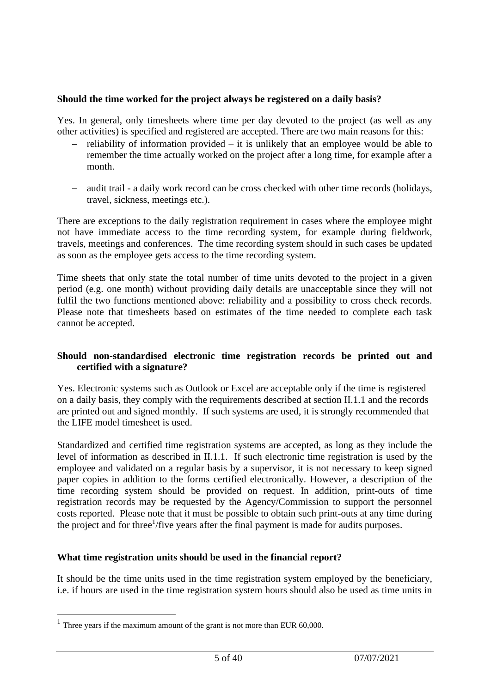### **Should the time worked for the project always be registered on a daily basis?**

Yes. In general, only timesheets where time per day devoted to the project (as well as any other activities) is specified and registered are accepted. There are two main reasons for this:

- $reliability$  of information provided it is unlikely that an employee would be able to remember the time actually worked on the project after a long time, for example after a month.
- − audit trail a daily work record can be cross checked with other time records (holidays, travel, sickness, meetings etc.).

There are exceptions to the daily registration requirement in cases where the employee might not have immediate access to the time recording system, for example during fieldwork, travels, meetings and conferences. The time recording system should in such cases be updated as soon as the employee gets access to the time recording system.

Time sheets that only state the total number of time units devoted to the project in a given period (e.g. one month) without providing daily details are unacceptable since they will not fulfil the two functions mentioned above: reliability and a possibility to cross check records. Please note that timesheets based on estimates of the time needed to complete each task cannot be accepted.

### **Should non-standardised electronic time registration records be printed out and certified with a signature?**

Yes. Electronic systems such as Outlook or Excel are acceptable only if the time is registered on a daily basis, they comply with the requirements described at section II.1.1 and the records are printed out and signed monthly. If such systems are used, it is strongly recommended that the LIFE model timesheet is used.

Standardized and certified time registration systems are accepted, as long as they include the level of information as described in II.1.1. If such electronic time registration is used by the employee and validated on a regular basis by a supervisor, it is not necessary to keep signed paper copies in addition to the forms certified electronically. However, a description of the time recording system should be provided on request. In addition, print-outs of time registration records may be requested by the Agency/Commission to support the personnel costs reported. Please note that it must be possible to obtain such print-outs at any time during the project and for three<sup>1</sup>/five years after the final payment is made for audits purposes.

### **What time registration units should be used in the financial report?**

It should be the time units used in the time registration system employed by the beneficiary, i.e. if hours are used in the time registration system hours should also be used as time units in

<sup>&</sup>lt;sup>1</sup> Three years if the maximum amount of the grant is not more than EUR 60,000.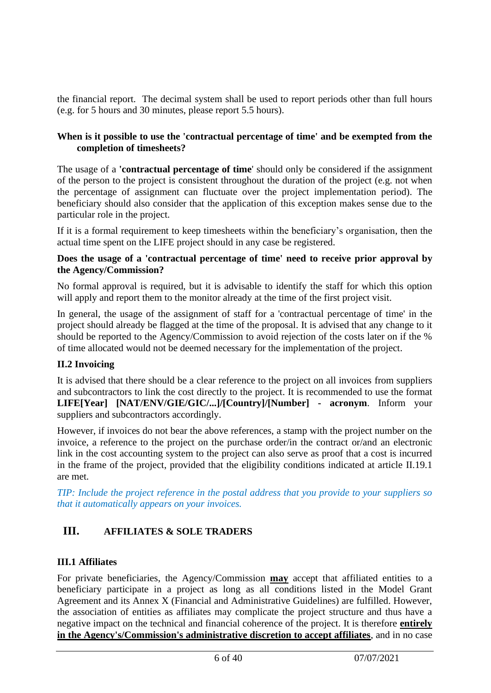the financial report. The decimal system shall be used to report periods other than full hours (e.g. for 5 hours and 30 minutes, please report 5.5 hours).

### **When is it possible to use the 'contractual percentage of time' and be exempted from the completion of timesheets?**

The usage of a **'contractual percentage of time**' should only be considered if the assignment of the person to the project is consistent throughout the duration of the project (e.g. not when the percentage of assignment can fluctuate over the project implementation period). The beneficiary should also consider that the application of this exception makes sense due to the particular role in the project.

If it is a formal requirement to keep timesheets within the beneficiary's organisation, then the actual time spent on the LIFE project should in any case be registered.

### **Does the usage of a 'contractual percentage of time' need to receive prior approval by the Agency/Commission?**

No formal approval is required, but it is advisable to identify the staff for which this option will apply and report them to the monitor already at the time of the first project visit.

In general, the usage of the assignment of staff for a 'contractual percentage of time' in the project should already be flagged at the time of the proposal. It is advised that any change to it should be reported to the Agency/Commission to avoid rejection of the costs later on if the % of time allocated would not be deemed necessary for the implementation of the project.

### **II.2 Invoicing**

It is advised that there should be a clear reference to the project on all invoices from suppliers and subcontractors to link the cost directly to the project. It is recommended to use the format **LIFE[Year] [NAT/ENV/GIE/GIC/...]/[Country]/[Number] - acronym**. Inform your suppliers and subcontractors accordingly.

However, if invoices do not bear the above references, a stamp with the project number on the invoice, a reference to the project on the purchase order/in the contract or/and an electronic link in the cost accounting system to the project can also serve as proof that a cost is incurred in the frame of the project, provided that the eligibility conditions indicated at article II.19.1 are met.

*TIP: Include the project reference in the postal address that you provide to your suppliers so that it automatically appears on your invoices.*

## **III. AFFILIATES & SOLE TRADERS**

### **III.1 Affiliates**

For private beneficiaries, the Agency/Commission **may** accept that affiliated entities to a beneficiary participate in a project as long as all conditions listed in the Model Grant Agreement and its Annex X (Financial and Administrative Guidelines) are fulfilled. However, the association of entities as affiliates may complicate the project structure and thus have a negative impact on the technical and financial coherence of the project. It is therefore **entirely in the Agency's/Commission's administrative discretion to accept affiliates**, and in no case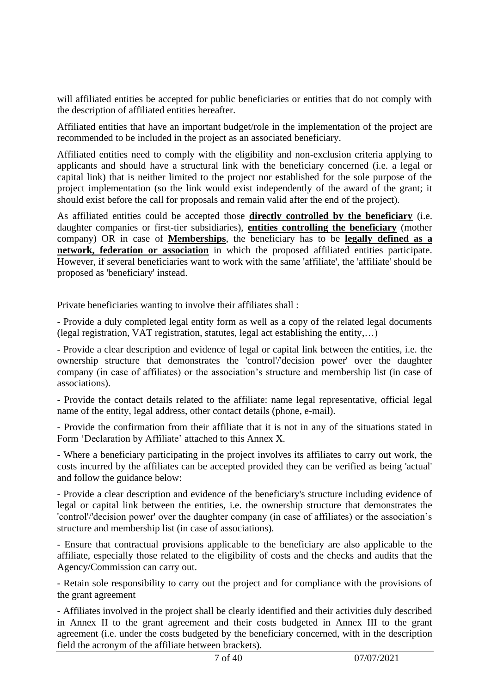will affiliated entities be accepted for public beneficiaries or entities that do not comply with the description of affiliated entities hereafter.

Affiliated entities that have an important budget/role in the implementation of the project are recommended to be included in the project as an associated beneficiary.

Affiliated entities need to comply with the eligibility and non-exclusion criteria applying to applicants and should have a structural link with the beneficiary concerned (i.e. a legal or capital link) that is neither limited to the project nor established for the sole purpose of the project implementation (so the link would exist independently of the award of the grant; it should exist before the call for proposals and remain valid after the end of the project).

As affiliated entities could be accepted those **directly controlled by the beneficiary** (i.e. daughter companies or first-tier subsidiaries), **entities controlling the beneficiary** (mother company) OR in case of **Memberships**, the beneficiary has to be **legally defined as a network, federation or association** in which the proposed affiliated entities participate. However, if several beneficiaries want to work with the same 'affiliate', the 'affiliate' should be proposed as 'beneficiary' instead.

Private beneficiaries wanting to involve their affiliates shall :

- Provide a duly completed legal entity form as well as a copy of the related legal documents (legal registration, VAT registration, statutes, legal act establishing the entity,…)

- Provide a clear description and evidence of legal or capital link between the entities, i.e. the ownership structure that demonstrates the 'control'/'decision power' over the daughter company (in case of affiliates) or the association's structure and membership list (in case of associations).

- Provide the contact details related to the affiliate: name legal representative, official legal name of the entity, legal address, other contact details (phone, e-mail).

- Provide the confirmation from their affiliate that it is not in any of the situations stated in Form 'Declaration by Affiliate' attached to this Annex X.

- Where a beneficiary participating in the project involves its affiliates to carry out work, the costs incurred by the affiliates can be accepted provided they can be verified as being 'actual' and follow the guidance below:

- Provide a clear description and evidence of the beneficiary's structure including evidence of legal or capital link between the entities, i.e. the ownership structure that demonstrates the 'control'/'decision power' over the daughter company (in case of affiliates) or the association's structure and membership list (in case of associations).

- Ensure that contractual provisions applicable to the beneficiary are also applicable to the affiliate, especially those related to the eligibility of costs and the checks and audits that the Agency/Commission can carry out.

- Retain sole responsibility to carry out the project and for compliance with the provisions of the grant agreement

- Affiliates involved in the project shall be clearly identified and their activities duly described in Annex II to the grant agreement and their costs budgeted in Annex III to the grant agreement (i.e. under the costs budgeted by the beneficiary concerned, with in the description field the acronym of the affiliate between brackets).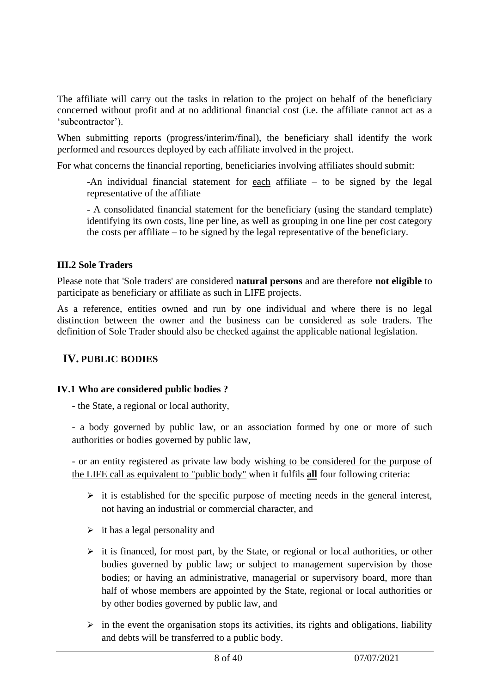The affiliate will carry out the tasks in relation to the project on behalf of the beneficiary concerned without profit and at no additional financial cost (i.e. the affiliate cannot act as a 'subcontractor').

When submitting reports (progress/interim/final), the beneficiary shall identify the work performed and resources deployed by each affiliate involved in the project.

For what concerns the financial reporting, beneficiaries involving affiliates should submit:

-An individual financial statement for each affiliate – to be signed by the legal representative of the affiliate

- A consolidated financial statement for the beneficiary (using the standard template) identifying its own costs, line per line, as well as grouping in one line per cost category the costs per affiliate – to be signed by the legal representative of the beneficiary.

### **III.2 Sole Traders**

Please note that 'Sole traders' are considered **natural persons** and are therefore **not eligible** to participate as beneficiary or affiliate as such in LIFE projects.

As a reference, entities owned and run by one individual and where there is no legal distinction between the owner and the business can be considered as sole traders. The definition of Sole Trader should also be checked against the applicable national legislation.

## **IV. PUBLIC BODIES**

### **IV.1 Who are considered public bodies ?**

- the State, a regional or local authority,

- a body governed by public law, or an association formed by one or more of such authorities or bodies governed by public law,

- or an entity registered as private law body wishing to be considered for the purpose of the LIFE call as equivalent to "public body" when it fulfils **all** four following criteria:

- $\triangleright$  it is established for the specific purpose of meeting needs in the general interest, not having an industrial or commercial character, and
- $\triangleright$  it has a legal personality and
- $\triangleright$  it is financed, for most part, by the State, or regional or local authorities, or other bodies governed by public law; or subject to management supervision by those bodies; or having an administrative, managerial or supervisory board, more than half of whose members are appointed by the State, regional or local authorities or by other bodies governed by public law, and
- $\triangleright$  in the event the organisation stops its activities, its rights and obligations, liability and debts will be transferred to a public body.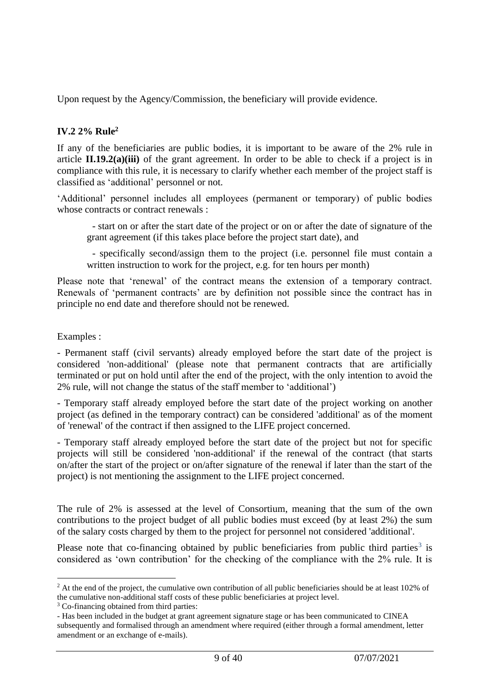Upon request by the Agency/Commission, the beneficiary will provide evidence.

## **IV.2 2% Rule<sup>2</sup>**

If any of the beneficiaries are public bodies, it is important to be aware of the 2% rule in article **II.19.2(a)(iii)** of the grant agreement. In order to be able to check if a project is in compliance with this rule, it is necessary to clarify whether each member of the project staff is classified as 'additional' personnel or not.

'Additional' personnel includes all employees (permanent or temporary) of public bodies whose contracts or contract renewals :

- start on or after the start date of the project or on or after the date of signature of the grant agreement (if this takes place before the project start date), and

- specifically second/assign them to the project (i.e. personnel file must contain a written instruction to work for the project, e.g. for ten hours per month)

Please note that 'renewal' of the contract means the extension of a temporary contract. Renewals of 'permanent contracts' are by definition not possible since the contract has in principle no end date and therefore should not be renewed.

Examples :

- Permanent staff (civil servants) already employed before the start date of the project is considered 'non-additional' (please note that permanent contracts that are artificially terminated or put on hold until after the end of the project, with the only intention to avoid the 2% rule, will not change the status of the staff member to 'additional')

- Temporary staff already employed before the start date of the project working on another project (as defined in the temporary contract) can be considered 'additional' as of the moment of 'renewal' of the contract if then assigned to the LIFE project concerned.

- Temporary staff already employed before the start date of the project but not for specific projects will still be considered 'non-additional' if the renewal of the contract (that starts on/after the start of the project or on/after signature of the renewal if later than the start of the project) is not mentioning the assignment to the LIFE project concerned.

The rule of 2% is assessed at the level of Consortium, meaning that the sum of the own contributions to the project budget of all public bodies must exceed (by at least 2%) the sum of the salary costs charged by them to the project for personnel not considered 'additional'.

Please note that co-financing obtained by public beneficiaries from public third parties<sup>3</sup> is considered as 'own contribution' for the checking of the compliance with the 2% rule. It is

<sup>&</sup>lt;sup>2</sup> At the end of the project, the cumulative own contribution of all public beneficiaries should be at least 102% of the cumulative non-additional staff costs of these public beneficiaries at project level.

<sup>&</sup>lt;sup>3</sup> Co-financing obtained from third parties:

<sup>-</sup> Has been included in the budget at grant agreement signature stage or has been communicated to CINEA subsequently and formalised through an amendment where required (either through a formal amendment, letter amendment or an exchange of e-mails).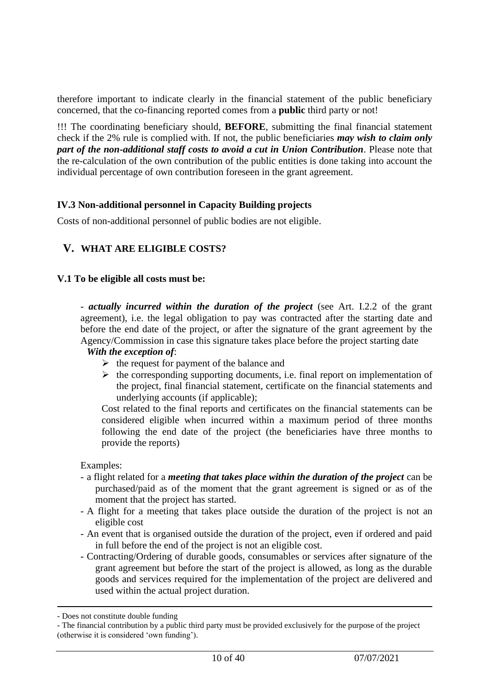therefore important to indicate clearly in the financial statement of the public beneficiary concerned, that the co-financing reported comes from a **public** third party or not!

!!! The coordinating beneficiary should, **BEFORE**, submitting the final financial statement check if the 2% rule is complied with. If not, the public beneficiaries *may wish to claim only part of the non-additional staff costs to avoid a cut in Union Contribution*. Please note that the re-calculation of the own contribution of the public entities is done taking into account the individual percentage of own contribution foreseen in the grant agreement.

### **IV.3 Non-additional personnel in Capacity Building projects**

Costs of non-additional personnel of public bodies are not eligible.

## **V. WHAT ARE ELIGIBLE COSTS?**

### **V.1 To be eligible all costs must be:**

- *actually incurred within the duration of the project* (see Art. I.2.2 of the grant agreement), i.e. the legal obligation to pay was contracted after the starting date and before the end date of the project, or after the signature of the grant agreement by the Agency/Commission in case this signature takes place before the project starting date

#### *With the exception of*:

- $\triangleright$  the request for payment of the balance and
- $\triangleright$  the corresponding supporting documents, i.e. final report on implementation of the project, final financial statement, certificate on the financial statements and underlying accounts (if applicable);

Cost related to the final reports and certificates on the financial statements can be considered eligible when incurred within a maximum period of three months following the end date of the project (the beneficiaries have three months to provide the reports)

Examples:

- a flight related for a *meeting that takes place within the duration of the project* can be purchased/paid as of the moment that the grant agreement is signed or as of the moment that the project has started.
- A flight for a meeting that takes place outside the duration of the project is not an eligible cost
- An event that is organised outside the duration of the project, even if ordered and paid in full before the end of the project is not an eligible cost.
- Contracting/Ordering of durable goods, consumables or services after signature of the grant agreement but before the start of the project is allowed, as long as the durable goods and services required for the implementation of the project are delivered and used within the actual project duration.

<sup>-</sup> Does not constitute double funding

<sup>-</sup> The financial contribution by a public third party must be provided exclusively for the purpose of the project (otherwise it is considered 'own funding').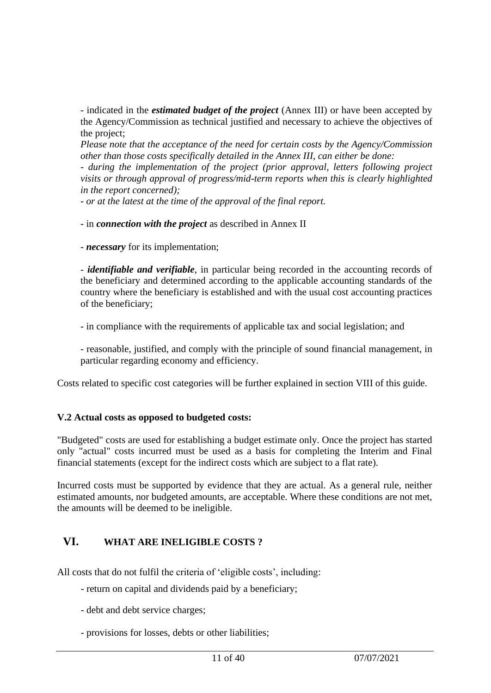- indicated in the *estimated budget of the project* (Annex III) or have been accepted by the Agency/Commission as technical justified and necessary to achieve the objectives of the project;

*Please note that the acceptance of the need for certain costs by the Agency/Commission other than those costs specifically detailed in the Annex III, can either be done:*

*- during the implementation of the project (prior approval, letters following project visits or through approval of progress/mid-term reports when this is clearly highlighted in the report concerned);*

*- or at the latest at the time of the approval of the final report.*

#### - in *connection with the project* as described in Annex II

- *necessary* for its implementation;

- *identifiable and verifiable*, in particular being recorded in the accounting records of the beneficiary and determined according to the applicable accounting standards of the country where the beneficiary is established and with the usual cost accounting practices of the beneficiary;

- in compliance with the requirements of applicable tax and social legislation; and

- reasonable, justified, and comply with the principle of sound financial management, in particular regarding economy and efficiency.

Costs related to specific cost categories will be further explained in section VIII of this guide.

### **V.2 Actual costs as opposed to budgeted costs:**

"Budgeted" costs are used for establishing a budget estimate only. Once the project has started only "actual" costs incurred must be used as a basis for completing the Interim and Final financial statements (except for the indirect costs which are subject to a flat rate).

Incurred costs must be supported by evidence that they are actual. As a general rule, neither estimated amounts, nor budgeted amounts, are acceptable. Where these conditions are not met, the amounts will be deemed to be ineligible.

## **VI. WHAT ARE INELIGIBLE COSTS ?**

All costs that do not fulfil the criteria of 'eligible costs', including:

- return on capital and dividends paid by a beneficiary;
- debt and debt service charges;
- provisions for losses, debts or other liabilities;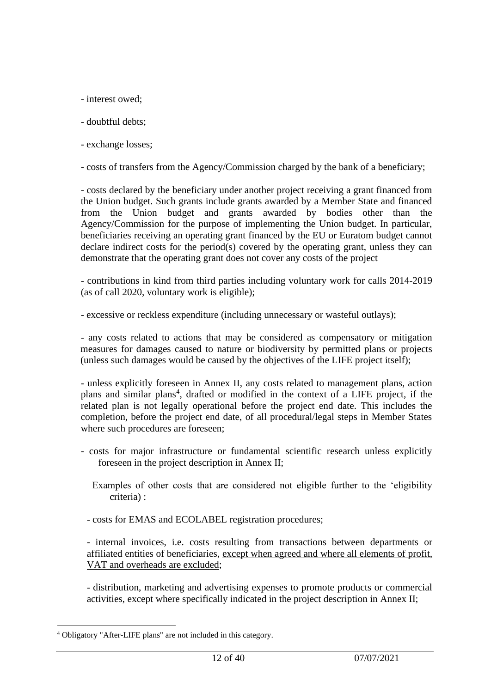- interest owed;
- doubtful debts;
- exchange losses;
- costs of transfers from the Agency/Commission charged by the bank of a beneficiary;

- costs declared by the beneficiary under another project receiving a grant financed from the Union budget. Such grants include grants awarded by a Member State and financed from the Union budget and grants awarded by bodies other than the Agency/Commission for the purpose of implementing the Union budget. In particular, beneficiaries receiving an operating grant financed by the EU or Euratom budget cannot declare indirect costs for the period(s) covered by the operating grant, unless they can demonstrate that the operating grant does not cover any costs of the project

- contributions in kind from third parties including voluntary work for calls 2014-2019 (as of call 2020, voluntary work is eligible);

- excessive or reckless expenditure (including unnecessary or wasteful outlays);

- any costs related to actions that may be considered as compensatory or mitigation measures for damages caused to nature or biodiversity by permitted plans or projects (unless such damages would be caused by the objectives of the LIFE project itself);

- unless explicitly foreseen in Annex II, any costs related to management plans, action plans and similar plans<sup>4</sup>, drafted or modified in the context of a LIFE project, if the related plan is not legally operational before the project end date. This includes the completion, before the project end date, of all procedural/legal steps in Member States where such procedures are foreseen;

- costs for major infrastructure or fundamental scientific research unless explicitly foreseen in the project description in Annex II;
	- Examples of other costs that are considered not eligible further to the 'eligibility criteria) :
	- costs for EMAS and ECOLABEL registration procedures;

- internal invoices, i.e. costs resulting from transactions between departments or affiliated entities of beneficiaries, except when agreed and where all elements of profit, VAT and overheads are excluded;

- distribution, marketing and advertising expenses to promote products or commercial activities, except where specifically indicated in the project description in Annex II;

<sup>4</sup> Obligatory "After-LIFE plans" are not included in this category.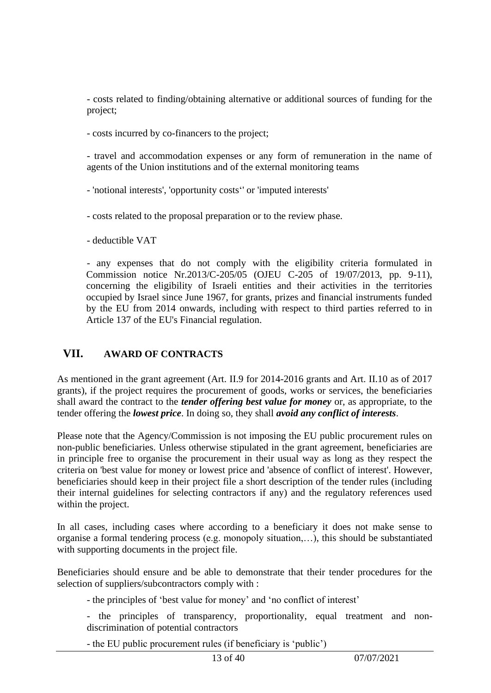- costs related to finding/obtaining alternative or additional sources of funding for the project;

- costs incurred by co-financers to the project;

- travel and accommodation expenses or any form of remuneration in the name of agents of the Union institutions and of the external monitoring teams

- 'notional interests', 'opportunity costs'' or 'imputed interests'

- costs related to the proposal preparation or to the review phase.

- deductible VAT

- any expenses that do not comply with the eligibility criteria formulated in Commission notice Nr.2013/C-205/05 (OJEU C-205 of 19/07/2013, pp. 9-11), concerning the eligibility of Israeli entities and their activities in the territories occupied by Israel since June 1967, for grants, prizes and financial instruments funded by the EU from 2014 onwards, including with respect to third parties referred to in Article 137 of the EU's Financial regulation.

### **VII. AWARD OF CONTRACTS**

As mentioned in the grant agreement (Art. II.9 for 2014-2016 grants and Art. II.10 as of 2017 grants), if the project requires the procurement of goods, works or services, the beneficiaries shall award the contract to the *tender offering best value for money* or, as appropriate, to the tender offering the *lowest price*. In doing so, they shall *avoid any conflict of interests*.

Please note that the Agency/Commission is not imposing the EU public procurement rules on non-public beneficiaries. Unless otherwise stipulated in the grant agreement, beneficiaries are in principle free to organise the procurement in their usual way as long as they respect the criteria on 'best value for money or lowest price and 'absence of conflict of interest'. However, beneficiaries should keep in their project file a short description of the tender rules (including their internal guidelines for selecting contractors if any) and the regulatory references used within the project.

In all cases, including cases where according to a beneficiary it does not make sense to organise a formal tendering process (e.g. monopoly situation,…), this should be substantiated with supporting documents in the project file.

Beneficiaries should ensure and be able to demonstrate that their tender procedures for the selection of suppliers/subcontractors comply with :

- the principles of 'best value for money' and 'no conflict of interest'

- the principles of transparency, proportionality, equal treatment and nondiscrimination of potential contractors

- the EU public procurement rules (if beneficiary is 'public')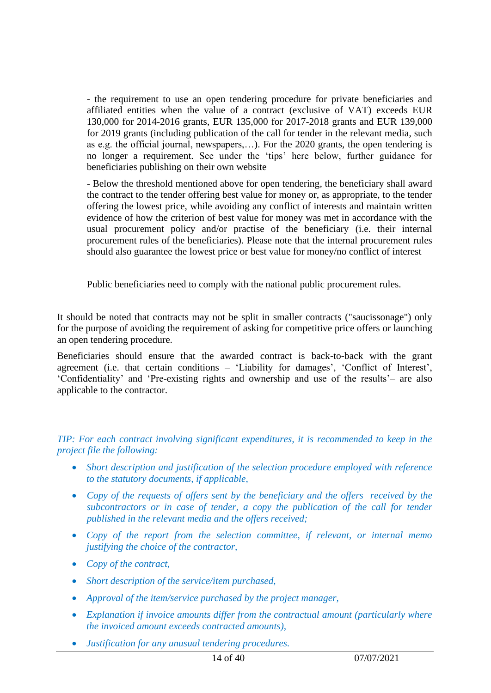- the requirement to use an open tendering procedure for private beneficiaries and affiliated entities when the value of a contract (exclusive of VAT) exceeds EUR 130,000 for 2014-2016 grants, EUR 135,000 for 2017-2018 grants and EUR 139,000 for 2019 grants (including publication of the call for tender in the relevant media, such as e.g. the official journal, newspapers,…). For the 2020 grants, the open tendering is no longer a requirement. See under the 'tips' here below, further guidance for beneficiaries publishing on their own website

- Below the threshold mentioned above for open tendering, the beneficiary shall award the contract to the tender offering best value for money or, as appropriate, to the tender offering the lowest price, while avoiding any conflict of interests and maintain written evidence of how the criterion of best value for money was met in accordance with the usual procurement policy and/or practise of the beneficiary (i.e. their internal procurement rules of the beneficiaries). Please note that the internal procurement rules should also guarantee the lowest price or best value for money/no conflict of interest

Public beneficiaries need to comply with the national public procurement rules.

It should be noted that contracts may not be split in smaller contracts ("saucissonage") only for the purpose of avoiding the requirement of asking for competitive price offers or launching an open tendering procedure.

Beneficiaries should ensure that the awarded contract is back-to-back with the grant agreement (i.e. that certain conditions – 'Liability for damages', 'Conflict of Interest', 'Confidentiality' and 'Pre-existing rights and ownership and use of the results'– are also applicable to the contractor.

*TIP: For each contract involving significant expenditures, it is recommended to keep in the project file the following:*

- *Short description and justification of the selection procedure employed with reference to the statutory documents, if applicable,*
- *Copy of the requests of offers sent by the beneficiary and the offers received by the subcontractors or in case of tender, a copy the publication of the call for tender published in the relevant media and the offers received;*
- *Copy of the report from the selection committee, if relevant, or internal memo justifying the choice of the contractor,*
- *Copy of the contract,*
- *Short description of the service/item purchased,*
- *Approval of the item/service purchased by the project manager,*
- *Explanation if invoice amounts differ from the contractual amount (particularly where the invoiced amount exceeds contracted amounts),*
- *Justification for any unusual tendering procedures.*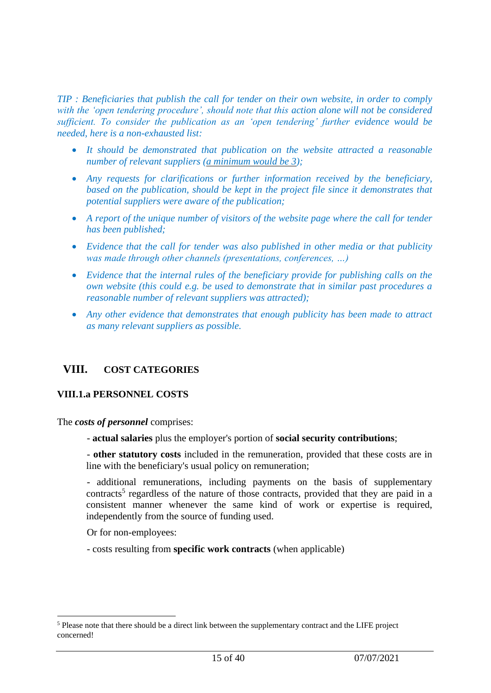*TIP : Beneficiaries that publish the call for tender on their own website, in order to comply with the 'open tendering procedure', should note that this action alone will not be considered sufficient. To consider the publication as an 'open tendering' further evidence would be needed, here is a non-exhausted list:*

- *It should be demonstrated that publication on the website attracted a reasonable number of relevant suppliers (a minimum would be 3);*
- *Any requests for clarifications or further information received by the beneficiary, based on the publication, should be kept in the project file since it demonstrates that potential suppliers were aware of the publication;*
- *A report of the unique number of visitors of the website page where the call for tender has been published;*
- *Evidence that the call for tender was also published in other media or that publicity was made through other channels (presentations, conferences, …)*
- *Evidence that the internal rules of the beneficiary provide for publishing calls on the own website (this could e.g. be used to demonstrate that in similar past procedures a reasonable number of relevant suppliers was attracted);*
- *Any other evidence that demonstrates that enough publicity has been made to attract as many relevant suppliers as possible.*

## **VIII. COST CATEGORIES**

### **VIII.1.a PERSONNEL COSTS**

The *costs of personnel* comprises:

- **actual salaries** plus the employer's portion of **social security contributions**;

- **other statutory costs** included in the remuneration, provided that these costs are in line with the beneficiary's usual policy on remuneration;

- additional remunerations, including payments on the basis of supplementary contracts<sup>5</sup> regardless of the nature of those contracts, provided that they are paid in a consistent manner whenever the same kind of work or expertise is required, independently from the source of funding used.

Or for non-employees:

- costs resulting from **specific work contracts** (when applicable)

<sup>5</sup> Please note that there should be a direct link between the supplementary contract and the LIFE project concerned!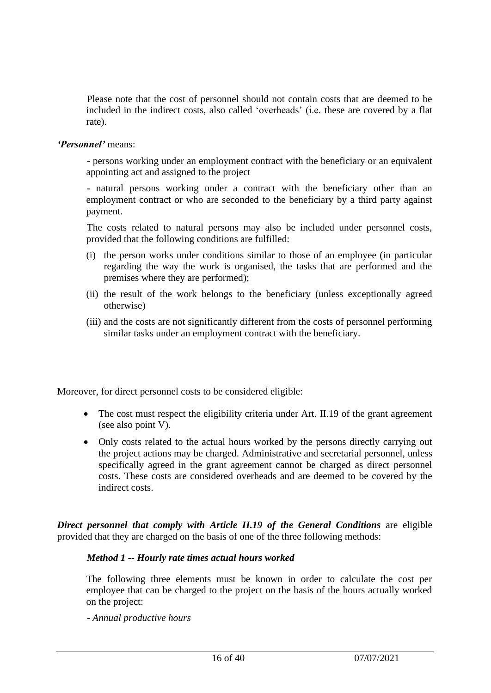Please note that the cost of personnel should not contain costs that are deemed to be included in the indirect costs, also called 'overheads' (i.e. these are covered by a flat rate).

### *'Personnel'* means:

- persons working under an employment contract with the beneficiary or an equivalent appointing act and assigned to the project

- natural persons working under a contract with the beneficiary other than an employment contract or who are seconded to the beneficiary by a third party against payment.

The costs related to natural persons may also be included under personnel costs, provided that the following conditions are fulfilled:

- (i) the person works under conditions similar to those of an employee (in particular regarding the way the work is organised, the tasks that are performed and the premises where they are performed);
- (ii) the result of the work belongs to the beneficiary (unless exceptionally agreed otherwise)
- (iii) and the costs are not significantly different from the costs of personnel performing similar tasks under an employment contract with the beneficiary.

Moreover, for direct personnel costs to be considered eligible:

- The cost must respect the eligibility criteria under Art. II.19 of the grant agreement (see also point V).
- Only costs related to the actual hours worked by the persons directly carrying out the project actions may be charged. Administrative and secretarial personnel, unless specifically agreed in the grant agreement cannot be charged as direct personnel costs. These costs are considered overheads and are deemed to be covered by the indirect costs.

*Direct personnel that comply with Article II.19 of the General Conditions* are eligible provided that they are charged on the basis of one of the three following methods:

### *Method 1 -- Hourly rate times actual hours worked*

The following three elements must be known in order to calculate the cost per employee that can be charged to the project on the basis of the hours actually worked on the project:

*- Annual productive hours*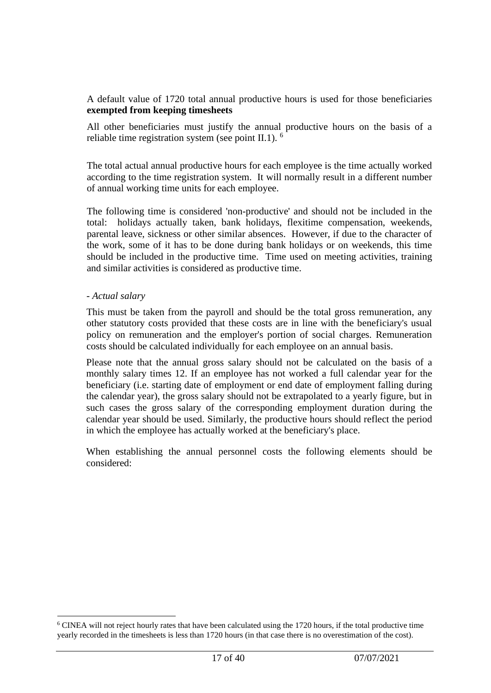A default value of 1720 total annual productive hours is used for those beneficiaries **exempted from keeping timesheets**

All other beneficiaries must justify the annual productive hours on the basis of a reliable time registration system (see point II.1). <sup>6</sup>

The total actual annual productive hours for each employee is the time actually worked according to the time registration system. It will normally result in a different number of annual working time units for each employee.

The following time is considered 'non-productive' and should not be included in the total: holidays actually taken, bank holidays, flexitime compensation, weekends, parental leave, sickness or other similar absences. However, if due to the character of the work, some of it has to be done during bank holidays or on weekends, this time should be included in the productive time. Time used on meeting activities, training and similar activities is considered as productive time.

#### *- Actual salary*

This must be taken from the payroll and should be the total gross remuneration, any other statutory costs provided that these costs are in line with the beneficiary's usual policy on remuneration and the employer's portion of social charges. Remuneration costs should be calculated individually for each employee on an annual basis.

Please note that the annual gross salary should not be calculated on the basis of a monthly salary times 12. If an employee has not worked a full calendar year for the beneficiary (i.e. starting date of employment or end date of employment falling during the calendar year), the gross salary should not be extrapolated to a yearly figure, but in such cases the gross salary of the corresponding employment duration during the calendar year should be used. Similarly, the productive hours should reflect the period in which the employee has actually worked at the beneficiary's place.

When establishing the annual personnel costs the following elements should be considered:

<sup>6</sup> CINEA will not reject hourly rates that have been calculated using the 1720 hours, if the total productive time yearly recorded in the timesheets is less than 1720 hours (in that case there is no overestimation of the cost).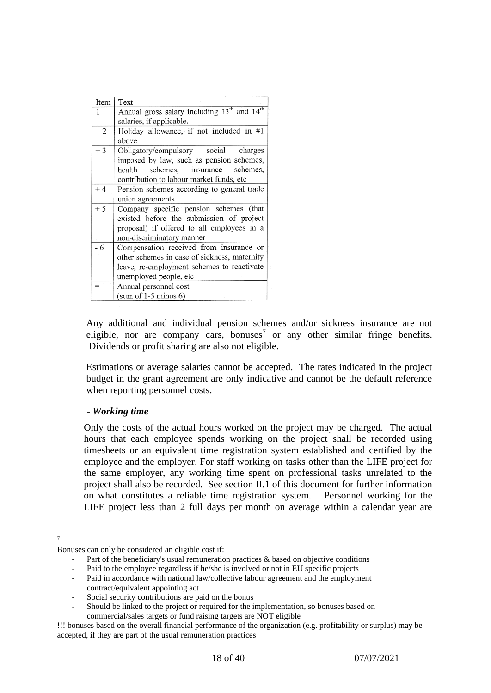| Text                                                                |
|---------------------------------------------------------------------|
| Annual gross salary including 13 <sup>th</sup> and 14 <sup>th</sup> |
| salaries, if applicable.                                            |
| Holiday allowance, if not included in #1                            |
| above                                                               |
| Obligatory/compulsory social charges                                |
| imposed by law, such as pension schemes,                            |
| schemes, insurance<br>schemes,<br>health                            |
| contribution to labour market funds, etc                            |
| Pension schemes according to general trade                          |
| union agreements                                                    |
| Company specific pension schemes (that                              |
| existed before the submission of project                            |
| proposal) if offered to all employees in a                          |
| non-discriminatory manner                                           |
| Compensation received from insurance or                             |
| other schemes in case of sickness, maternity                        |
| leave, re-employment schemes to reactivate                          |
| unemployed people, etc                                              |
| Annual personnel cost                                               |
| $(sum of 1-5 minus 6)$                                              |
|                                                                     |

Any additional and individual pension schemes and/or sickness insurance are not eligible, nor are company cars, bonuses<sup>7</sup> or any other similar fringe benefits. Dividends or profit sharing are also not eligible.

Estimations or average salaries cannot be accepted. The rates indicated in the project budget in the grant agreement are only indicative and cannot be the default reference when reporting personnel costs.

### **-** *Working time*

Only the costs of the actual hours worked on the project may be charged. The actual hours that each employee spends working on the project shall be recorded using timesheets or an equivalent time registration system established and certified by the employee and the employer. For staff working on tasks other than the LIFE project for the same employer, any working time spent on professional tasks unrelated to the project shall also be recorded. See section II.1 of this document for further information on what constitutes a reliable time registration system. Personnel working for the LIFE project less than 2 full days per month on average within a calendar year are

<sup>7</sup>

Bonuses can only be considered an eligible cost if:

Part of the beneficiary's usual remuneration practices  $\&$  based on objective conditions

Paid to the employee regardless if he/she is involved or not in EU specific projects

Paid in accordance with national law/collective labour agreement and the employment contract/equivalent appointing act

Social security contributions are paid on the bonus

<sup>-</sup> Should be linked to the project or required for the implementation, so bonuses based on commercial/sales targets or fund raising targets are NOT eligible

<sup>!!!</sup> bonuses based on the overall financial performance of the organization (e.g. profitability or surplus) may be accepted, if they are part of the usual remuneration practices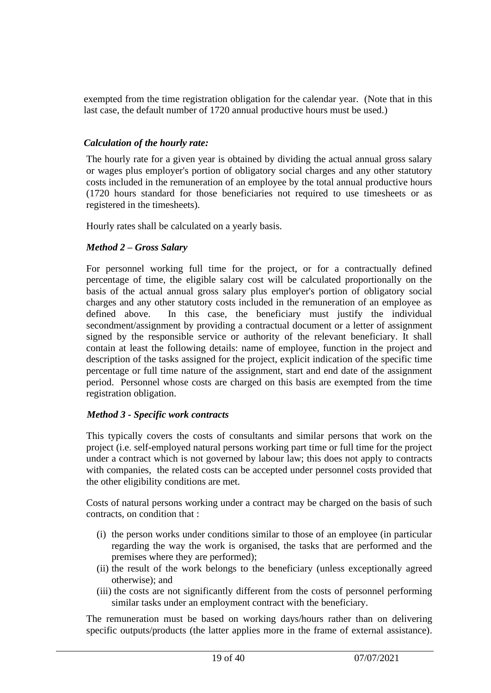exempted from the time registration obligation for the calendar year. (Note that in this last case, the default number of 1720 annual productive hours must be used.)

### *Calculation of the hourly rate:*

The hourly rate for a given year is obtained by dividing the actual annual gross salary or wages plus employer's portion of obligatory social charges and any other statutory costs included in the remuneration of an employee by the total annual productive hours (1720 hours standard for those beneficiaries not required to use timesheets or as registered in the timesheets).

Hourly rates shall be calculated on a yearly basis.

### *Method 2 – Gross Salary*

For personnel working full time for the project, or for a contractually defined percentage of time, the eligible salary cost will be calculated proportionally on the basis of the actual annual gross salary plus employer's portion of obligatory social charges and any other statutory costs included in the remuneration of an employee as defined above. In this case, the beneficiary must justify the individual secondment/assignment by providing a contractual document or a letter of assignment signed by the responsible service or authority of the relevant beneficiary. It shall contain at least the following details: name of employee, function in the project and description of the tasks assigned for the project, explicit indication of the specific time percentage or full time nature of the assignment, start and end date of the assignment period. Personnel whose costs are charged on this basis are exempted from the time registration obligation.

### *Method 3 - Specific work contracts*

This typically covers the costs of consultants and similar persons that work on the project (i.e. self-employed natural persons working part time or full time for the project under a contract which is not governed by labour law; this does not apply to contracts with companies, the related costs can be accepted under personnel costs provided that the other eligibility conditions are met.

Costs of natural persons working under a contract may be charged on the basis of such contracts, on condition that :

- (i) the person works under conditions similar to those of an employee (in particular regarding the way the work is organised, the tasks that are performed and the premises where they are performed);
- (ii) the result of the work belongs to the beneficiary (unless exceptionally agreed otherwise); and
- (iii) the costs are not significantly different from the costs of personnel performing similar tasks under an employment contract with the beneficiary.

The remuneration must be based on working days/hours rather than on delivering specific outputs/products (the latter applies more in the frame of external assistance).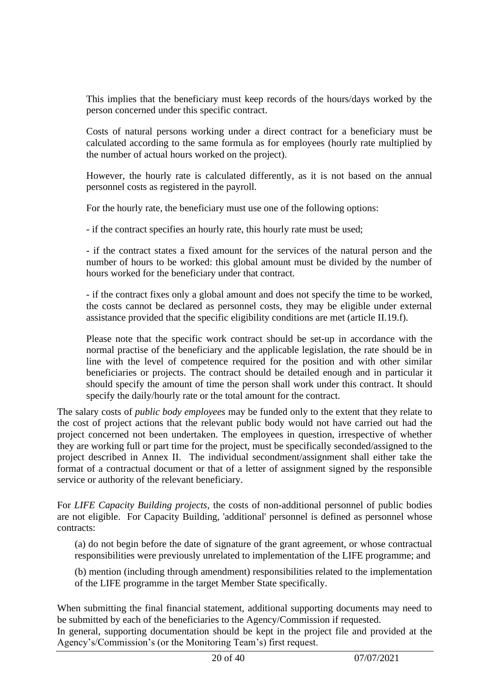This implies that the beneficiary must keep records of the hours/days worked by the person concerned under this specific contract.

Costs of natural persons working under a direct contract for a beneficiary must be calculated according to the same formula as for employees (hourly rate multiplied by the number of actual hours worked on the project).

However, the hourly rate is calculated differently, as it is not based on the annual personnel costs as registered in the payroll.

For the hourly rate, the beneficiary must use one of the following options:

- if the contract specifies an hourly rate, this hourly rate must be used;

- if the contract states a fixed amount for the services of the natural person and the number of hours to be worked: this global amount must be divided by the number of hours worked for the beneficiary under that contract.

- if the contract fixes only a global amount and does not specify the time to be worked, the costs cannot be declared as personnel costs, they may be eligible under external assistance provided that the specific eligibility conditions are met (article II.19.f).

Please note that the specific work contract should be set-up in accordance with the normal practise of the beneficiary and the applicable legislation, the rate should be in line with the level of competence required for the position and with other similar beneficiaries or projects. The contract should be detailed enough and in particular it should specify the amount of time the person shall work under this contract. It should specify the daily/hourly rate or the total amount for the contract.

The salary costs of *public body employees* may be funded only to the extent that they relate to the cost of project actions that the relevant public body would not have carried out had the project concerned not been undertaken. The employees in question, irrespective of whether they are working full or part time for the project, must be specifically seconded/assigned to the project described in Annex II. The individual secondment/assignment shall either take the format of a contractual document or that of a letter of assignment signed by the responsible service or authority of the relevant beneficiary.

For *LIFE Capacity Building projects*, the costs of non-additional personnel of public bodies are not eligible. For Capacity Building, 'additional' personnel is defined as personnel whose contracts:

(a) do not begin before the date of signature of the grant agreement, or whose contractual responsibilities were previously unrelated to implementation of the LIFE programme; and

(b) mention (including through amendment) responsibilities related to the implementation of the LIFE programme in the target Member State specifically.

When submitting the final financial statement, additional supporting documents may need to be submitted by each of the beneficiaries to the Agency/Commission if requested.

In general, supporting documentation should be kept in the project file and provided at the Agency's/Commission's (or the Monitoring Team's) first request.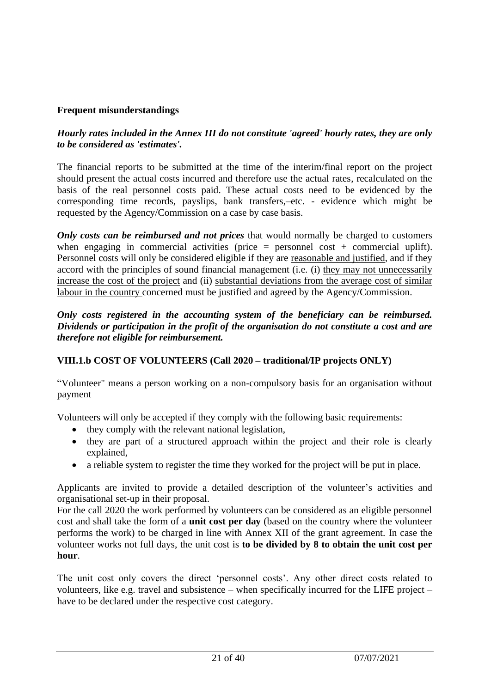### **Frequent misunderstandings**

### *Hourly rates included in the Annex III do not constitute 'agreed' hourly rates, they are only to be considered as 'estimates'.*

The financial reports to be submitted at the time of the interim/final report on the project should present the actual costs incurred and therefore use the actual rates, recalculated on the basis of the real personnel costs paid. These actual costs need to be evidenced by the corresponding time records, payslips, bank transfers,–etc. - evidence which might be requested by the Agency/Commission on a case by case basis.

*Only costs can be reimbursed and not prices* that would normally be charged to customers when engaging in commercial activities (price  $=$  personnel cost  $+$  commercial uplift). Personnel costs will only be considered eligible if they are reasonable and justified, and if they accord with the principles of sound financial management (i.e. (i) they may not unnecessarily increase the cost of the project and (ii) substantial deviations from the average cost of similar labour in the country concerned must be justified and agreed by the Agency/Commission.

#### *Only costs registered in the accounting system of the beneficiary can be reimbursed. Dividends or participation in the profit of the organisation do not constitute a cost and are therefore not eligible for reimbursement.*

### **VIII.1.b COST OF VOLUNTEERS (Call 2020 – traditional/IP projects ONLY)**

"Volunteer" means a person working on a non-compulsory basis for an organisation without payment

Volunteers will only be accepted if they comply with the following basic requirements:

- they comply with the relevant national legislation,
- they are part of a structured approach within the project and their role is clearly explained,
- a reliable system to register the time they worked for the project will be put in place.

Applicants are invited to provide a detailed description of the volunteer's activities and organisational set-up in their proposal.

For the call 2020 the work performed by volunteers can be considered as an eligible personnel cost and shall take the form of a **unit cost per day** (based on the country where the volunteer performs the work) to be charged in line with Annex XII of the grant agreement. In case the volunteer works not full days, the unit cost is **to be divided by 8 to obtain the unit cost per hour**.

The unit cost only covers the direct 'personnel costs'. Any other direct costs related to volunteers, like e.g. travel and subsistence – when specifically incurred for the LIFE project – have to be declared under the respective cost category.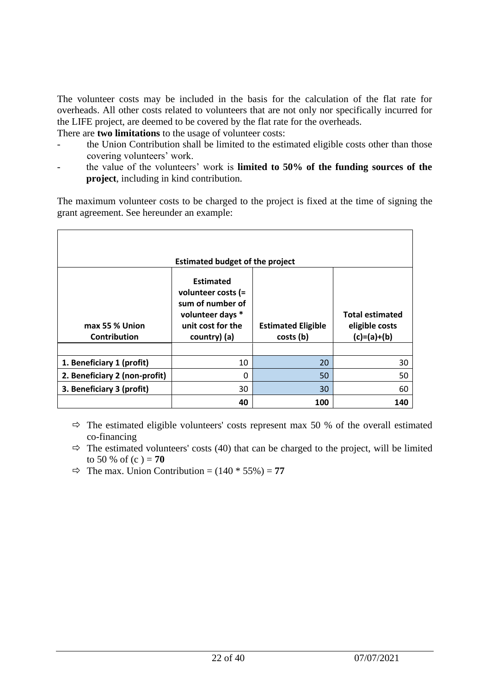The volunteer costs may be included in the basis for the calculation of the flat rate for overheads. All other costs related to volunteers that are not only nor specifically incurred for the LIFE project, are deemed to be covered by the flat rate for the overheads.

There are **two limitations** to the usage of volunteer costs:

- the Union Contribution shall be limited to the estimated eligible costs other than those covering volunteers' work.
- the value of the volunteers' work is **limited to 50% of the funding sources of the project**, including in kind contribution.

The maximum volunteer costs to be charged to the project is fixed at the time of signing the grant agreement. See hereunder an example:

| <b>Estimated budget of the project</b> |                                                                                                                     |                                        |                                                           |  |  |  |  |
|----------------------------------------|---------------------------------------------------------------------------------------------------------------------|----------------------------------------|-----------------------------------------------------------|--|--|--|--|
| max 55 % Union<br>Contribution         | <b>Estimated</b><br>volunteer costs (=<br>sum of number of<br>volunteer days *<br>unit cost for the<br>country) (a) | <b>Estimated Eligible</b><br>costs (b) | <b>Total estimated</b><br>eligible costs<br>$(c)=(a)+(b)$ |  |  |  |  |
|                                        |                                                                                                                     |                                        |                                                           |  |  |  |  |
| 1. Beneficiary 1 (profit)              | 10                                                                                                                  | 20                                     | 30                                                        |  |  |  |  |
| 2. Beneficiary 2 (non-profit)          | 0                                                                                                                   | 50                                     | 50                                                        |  |  |  |  |
| 3. Beneficiary 3 (profit)              | 30                                                                                                                  | 30                                     | 60                                                        |  |  |  |  |
|                                        | 40                                                                                                                  | 100                                    | 140                                                       |  |  |  |  |

- $\Rightarrow$  The estimated eligible volunteers' costs represent max 50 % of the overall estimated co-financing
- $\Rightarrow$  The estimated volunteers' costs (40) that can be charged to the project, will be limited to 50 % of  $(c) = 70$
- $\Rightarrow$  The max. Union Contribution = (140  $*$  55%) = **77**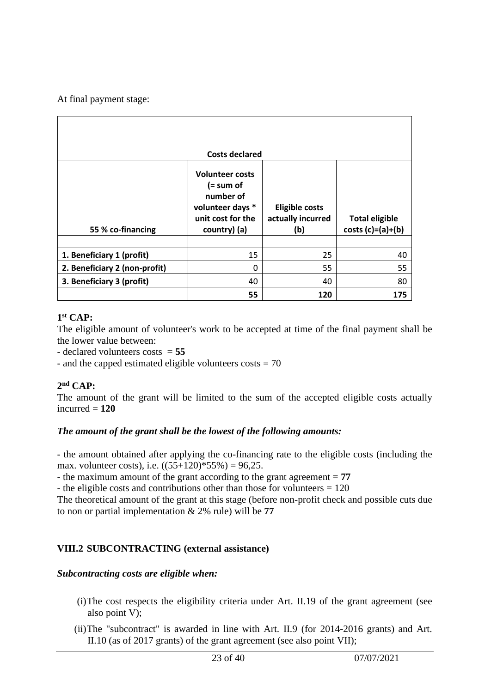At final payment stage:

| <b>Costs declared</b>         |                                                                                                              |                                                   |                                             |  |  |  |  |
|-------------------------------|--------------------------------------------------------------------------------------------------------------|---------------------------------------------------|---------------------------------------------|--|--|--|--|
| 55 % co-financing             | <b>Volunteer costs</b><br>$( = sum of$<br>number of<br>volunteer days *<br>unit cost for the<br>country) (a) | <b>Eligible costs</b><br>actually incurred<br>(b) | <b>Total eligible</b><br>$costs(c)=(a)+(b)$ |  |  |  |  |
|                               |                                                                                                              |                                                   |                                             |  |  |  |  |
| 1. Beneficiary 1 (profit)     | 15                                                                                                           | 25                                                | 40                                          |  |  |  |  |
| 2. Beneficiary 2 (non-profit) | 0                                                                                                            | 55                                                | 55                                          |  |  |  |  |
| 3. Beneficiary 3 (profit)     | 40                                                                                                           | 40                                                | 80                                          |  |  |  |  |
|                               | 55                                                                                                           | 120                                               | 175                                         |  |  |  |  |

## **1 st CAP:**

The eligible amount of volunteer's work to be accepted at time of the final payment shall be the lower value between:

- declared volunteers costs = **55**

- and the capped estimated eligible volunteers costs = 70

## **2 nd CAP:**

The amount of the grant will be limited to the sum of the accepted eligible costs actually  $incurred = 120$ 

## *The amount of the grant shall be the lowest of the following amounts:*

- the amount obtained after applying the co-financing rate to the eligible costs (including the max. volunteer costs), i.e.  $((55+120)*55%) = 96,25$ .

- the maximum amount of the grant according to the grant agreement = **77**

- the eligible costs and contributions other than those for volunteers = 120

The theoretical amount of the grant at this stage (before non-profit check and possible cuts due to non or partial implementation & 2% rule) will be **77**

## **VIII.2 SUBCONTRACTING (external assistance)**

### *Subcontracting costs are eligible when:*

- (i)The cost respects the eligibility criteria under Art. II.19 of the grant agreement (see also point V);
- (ii)The "subcontract" is awarded in line with Art. II.9 (for 2014-2016 grants) and Art. II.10 (as of 2017 grants) of the grant agreement (see also point VII);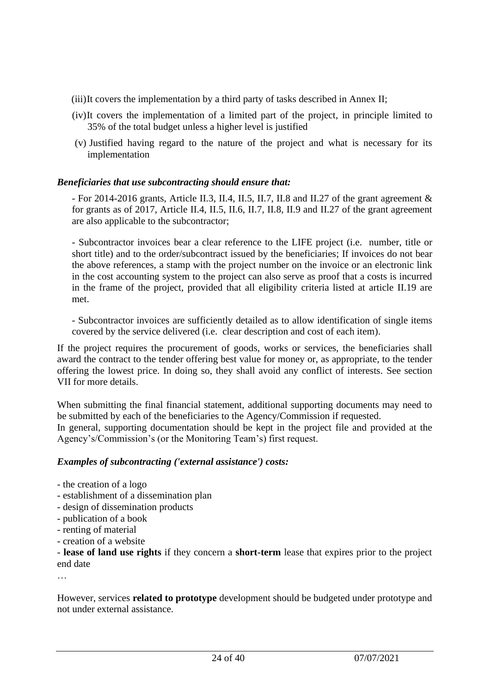- (iii)It covers the implementation by a third party of tasks described in Annex II;
- (iv)It covers the implementation of a limited part of the project, in principle limited to 35% of the total budget unless a higher level is justified
- (v) Justified having regard to the nature of the project and what is necessary for its implementation

### *Beneficiaries that use subcontracting should ensure that:*

- For 2014-2016 grants, Article II.3, II.4, II.5, II.7, II.8 and II.27 of the grant agreement & for grants as of 2017, Article II.4, II.5, II.6, II.7, II.8, II.9 and II.27 of the grant agreement are also applicable to the subcontractor;

- Subcontractor invoices bear a clear reference to the LIFE project (i.e. number, title or short title) and to the order/subcontract issued by the beneficiaries; If invoices do not bear the above references, a stamp with the project number on the invoice or an electronic link in the cost accounting system to the project can also serve as proof that a costs is incurred in the frame of the project, provided that all eligibility criteria listed at article II.19 are met.

- Subcontractor invoices are sufficiently detailed as to allow identification of single items covered by the service delivered (i.e. clear description and cost of each item).

If the project requires the procurement of goods, works or services, the beneficiaries shall award the contract to the tender offering best value for money or, as appropriate, to the tender offering the lowest price. In doing so, they shall avoid any conflict of interests. See section VII for more details.

When submitting the final financial statement, additional supporting documents may need to be submitted by each of the beneficiaries to the Agency/Commission if requested.

In general, supporting documentation should be kept in the project file and provided at the Agency's/Commission's (or the Monitoring Team's) first request.

### *Examples of subcontracting ('external assistance') costs:*

- the creation of a logo
- establishment of a dissemination plan
- design of dissemination products
- publication of a book
- renting of material
- creation of a website

- **lease of land use rights** if they concern a **short-term** lease that expires prior to the project end date

…

However, services **related to prototype** development should be budgeted under prototype and not under external assistance.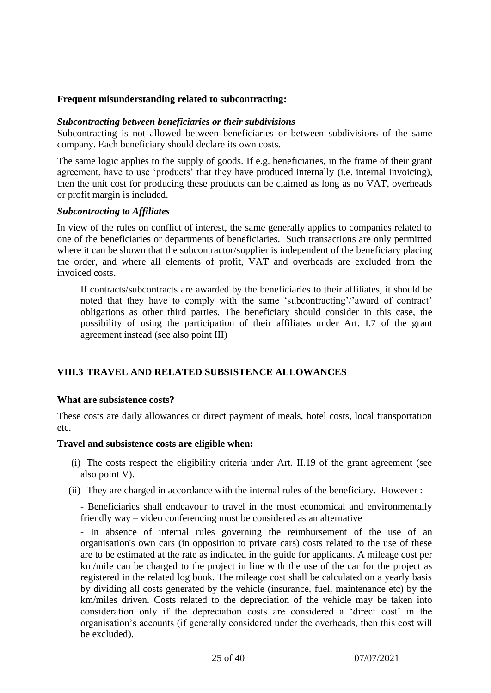### **Frequent misunderstanding related to subcontracting:**

### *Subcontracting between beneficiaries or their subdivisions*

Subcontracting is not allowed between beneficiaries or between subdivisions of the same company. Each beneficiary should declare its own costs.

The same logic applies to the supply of goods. If e.g. beneficiaries, in the frame of their grant agreement, have to use 'products' that they have produced internally (i.e. internal invoicing), then the unit cost for producing these products can be claimed as long as no VAT, overheads or profit margin is included.

### *Subcontracting to Affiliates*

In view of the rules on conflict of interest, the same generally applies to companies related to one of the beneficiaries or departments of beneficiaries. Such transactions are only permitted where it can be shown that the subcontractor/supplier is independent of the beneficiary placing the order, and where all elements of profit, VAT and overheads are excluded from the invoiced costs.

If contracts/subcontracts are awarded by the beneficiaries to their affiliates, it should be noted that they have to comply with the same 'subcontracting'/'award of contract' obligations as other third parties. The beneficiary should consider in this case, the possibility of using the participation of their affiliates under Art. I.7 of the grant agreement instead (see also point III)

## **VIII.3 TRAVEL AND RELATED SUBSISTENCE ALLOWANCES**

### **What are subsistence costs?**

These costs are daily allowances or direct payment of meals, hotel costs, local transportation etc.

### **Travel and subsistence costs are eligible when:**

- (i) The costs respect the eligibility criteria under Art. II.19 of the grant agreement (see also point V).
- (ii) They are charged in accordance with the internal rules of the beneficiary. However :

- Beneficiaries shall endeavour to travel in the most economical and environmentally friendly way – video conferencing must be considered as an alternative

- In absence of internal rules governing the reimbursement of the use of an organisation's own cars (in opposition to private cars) costs related to the use of these are to be estimated at the rate as indicated in the guide for applicants. A mileage cost per km/mile can be charged to the project in line with the use of the car for the project as registered in the related log book. The mileage cost shall be calculated on a yearly basis by dividing all costs generated by the vehicle (insurance, fuel, maintenance etc) by the km/miles driven. Costs related to the depreciation of the vehicle may be taken into consideration only if the depreciation costs are considered a 'direct cost' in the organisation's accounts (if generally considered under the overheads, then this cost will be excluded).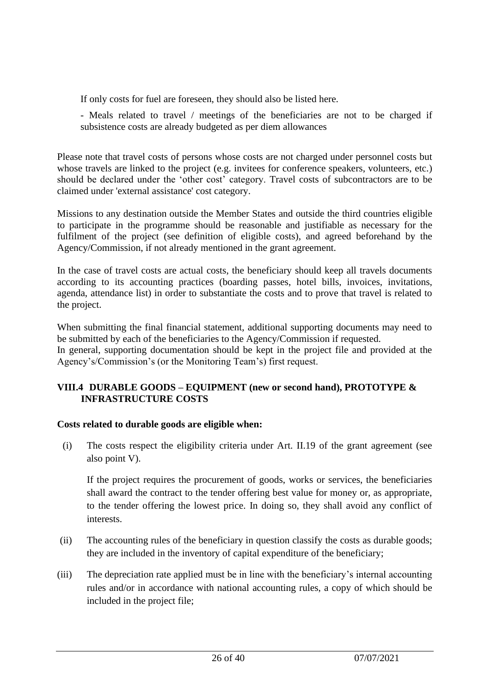If only costs for fuel are foreseen, they should also be listed here.

- Meals related to travel / meetings of the beneficiaries are not to be charged if subsistence costs are already budgeted as per diem allowances

Please note that travel costs of persons whose costs are not charged under personnel costs but whose travels are linked to the project (e.g. invitees for conference speakers, volunteers, etc.) should be declared under the 'other cost' category. Travel costs of subcontractors are to be claimed under 'external assistance' cost category.

Missions to any destination outside the Member States and outside the third countries eligible to participate in the programme should be reasonable and justifiable as necessary for the fulfilment of the project (see definition of eligible costs), and agreed beforehand by the Agency/Commission, if not already mentioned in the grant agreement.

In the case of travel costs are actual costs, the beneficiary should keep all travels documents according to its accounting practices (boarding passes, hotel bills, invoices, invitations, agenda, attendance list) in order to substantiate the costs and to prove that travel is related to the project.

When submitting the final financial statement, additional supporting documents may need to be submitted by each of the beneficiaries to the Agency/Commission if requested. In general, supporting documentation should be kept in the project file and provided at the Agency's/Commission's (or the Monitoring Team's) first request.

### **VIII.4 DURABLE GOODS – EQUIPMENT (new or second hand), PROTOTYPE & INFRASTRUCTURE COSTS**

### **Costs related to durable goods are eligible when:**

(i) The costs respect the eligibility criteria under Art. II.19 of the grant agreement (see also point V).

If the project requires the procurement of goods, works or services, the beneficiaries shall award the contract to the tender offering best value for money or, as appropriate, to the tender offering the lowest price. In doing so, they shall avoid any conflict of interests.

- (ii) The accounting rules of the beneficiary in question classify the costs as durable goods; they are included in the inventory of capital expenditure of the beneficiary;
- (iii) The depreciation rate applied must be in line with the beneficiary's internal accounting rules and/or in accordance with national accounting rules, a copy of which should be included in the project file;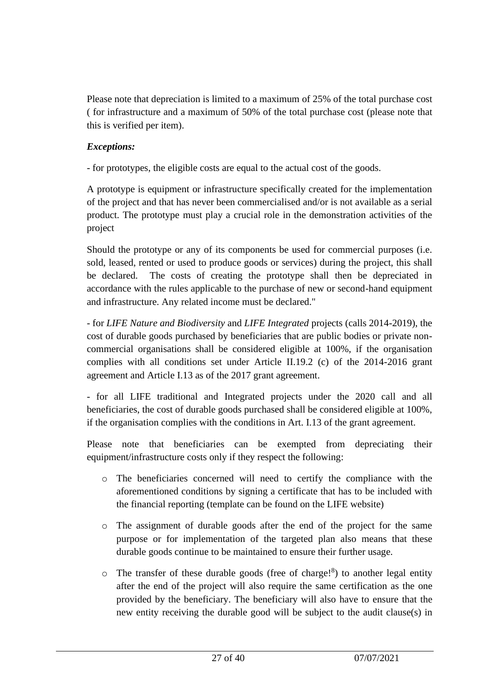Please note that depreciation is limited to a maximum of 25% of the total purchase cost ( for infrastructure and a maximum of 50% of the total purchase cost (please note that this is verified per item).

## *Exceptions:*

- for prototypes, the eligible costs are equal to the actual cost of the goods.

A prototype is equipment or infrastructure specifically created for the implementation of the project and that has never been commercialised and/or is not available as a serial product. The prototype must play a crucial role in the demonstration activities of the project

Should the prototype or any of its components be used for commercial purposes (i.e. sold, leased, rented or used to produce goods or services) during the project, this shall be declared. The costs of creating the prototype shall then be depreciated in accordance with the rules applicable to the purchase of new or second-hand equipment and infrastructure. Any related income must be declared."

- for *LIFE Nature and Biodiversity* and *LIFE Integrated* projects (calls 2014-2019), the cost of durable goods purchased by beneficiaries that are public bodies or private noncommercial organisations shall be considered eligible at 100%, if the organisation complies with all conditions set under Article II.19.2 (c) of the 2014-2016 grant agreement and Article I.13 as of the 2017 grant agreement.

- for all LIFE traditional and Integrated projects under the 2020 call and all beneficiaries, the cost of durable goods purchased shall be considered eligible at 100%, if the organisation complies with the conditions in Art. I.13 of the grant agreement.

Please note that beneficiaries can be exempted from depreciating their equipment/infrastructure costs only if they respect the following:

- o The beneficiaries concerned will need to certify the compliance with the aforementioned conditions by signing a certificate that has to be included with the financial reporting (template can be found on the LIFE website)
- o The assignment of durable goods after the end of the project for the same purpose or for implementation of the targeted plan also means that these durable goods continue to be maintained to ensure their further usage.
- o The transfer of these durable goods (free of charge!<sup>8</sup>) to another legal entity after the end of the project will also require the same certification as the one provided by the beneficiary. The beneficiary will also have to ensure that the new entity receiving the durable good will be subject to the audit clause(s) in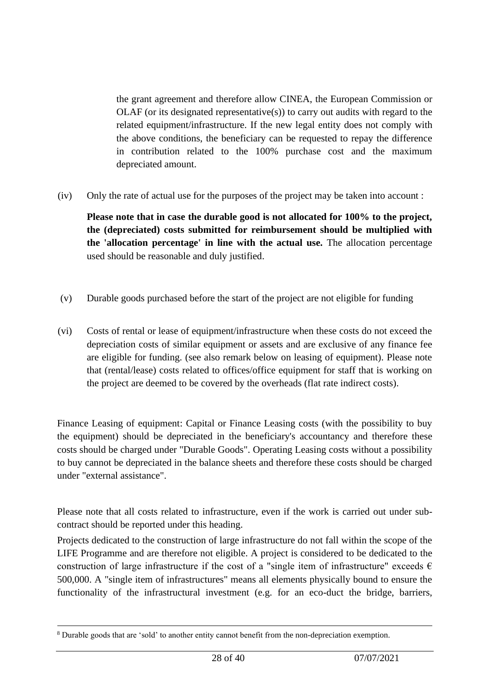the grant agreement and therefore allow CINEA, the European Commission or OLAF (or its designated representative(s)) to carry out audits with regard to the related equipment/infrastructure. If the new legal entity does not comply with the above conditions, the beneficiary can be requested to repay the difference in contribution related to the 100% purchase cost and the maximum depreciated amount.

(iv) Only the rate of actual use for the purposes of the project may be taken into account :

**Please note that in case the durable good is not allocated for 100% to the project, the (depreciated) costs submitted for reimbursement should be multiplied with the 'allocation percentage' in line with the actual use.** The allocation percentage used should be reasonable and duly justified.

- (v) Durable goods purchased before the start of the project are not eligible for funding
- (vi) Costs of rental or lease of equipment/infrastructure when these costs do not exceed the depreciation costs of similar equipment or assets and are exclusive of any finance fee are eligible for funding. (see also remark below on leasing of equipment). Please note that (rental/lease) costs related to offices/office equipment for staff that is working on the project are deemed to be covered by the overheads (flat rate indirect costs).

Finance Leasing of equipment: Capital or Finance Leasing costs (with the possibility to buy the equipment) should be depreciated in the beneficiary's accountancy and therefore these costs should be charged under "Durable Goods". Operating Leasing costs without a possibility to buy cannot be depreciated in the balance sheets and therefore these costs should be charged under "external assistance".

Please note that all costs related to infrastructure, even if the work is carried out under subcontract should be reported under this heading.

Projects dedicated to the construction of large infrastructure do not fall within the scope of the LIFE Programme and are therefore not eligible. A project is considered to be dedicated to the construction of large infrastructure if the cost of a "single item of infrastructure" exceeds  $\epsilon$ 500,000. A "single item of infrastructures" means all elements physically bound to ensure the functionality of the infrastructural investment (e.g. for an eco-duct the bridge, barriers,

<sup>8</sup> Durable goods that are 'sold' to another entity cannot benefit from the non-depreciation exemption.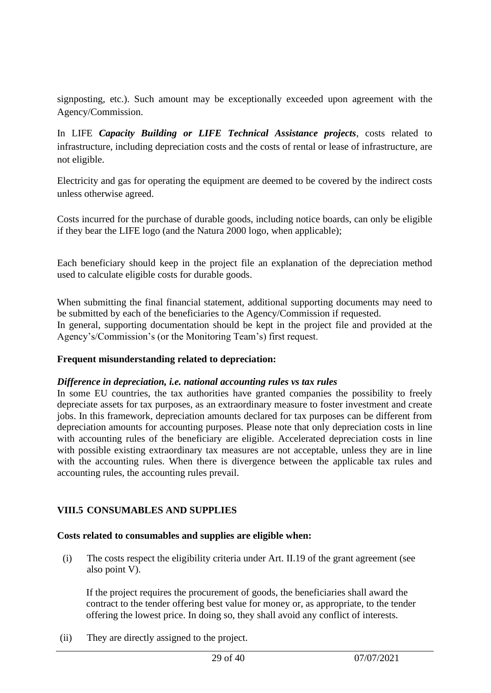signposting, etc.). Such amount may be exceptionally exceeded upon agreement with the Agency/Commission.

In LIFE *Capacity Building or LIFE Technical Assistance projects*, costs related to infrastructure, including depreciation costs and the costs of rental or lease of infrastructure, are not eligible.

Electricity and gas for operating the equipment are deemed to be covered by the indirect costs unless otherwise agreed.

Costs incurred for the purchase of durable goods, including notice boards, can only be eligible if they bear the LIFE logo (and the Natura 2000 logo, when applicable);

Each beneficiary should keep in the project file an explanation of the depreciation method used to calculate eligible costs for durable goods.

When submitting the final financial statement, additional supporting documents may need to be submitted by each of the beneficiaries to the Agency/Commission if requested.

In general, supporting documentation should be kept in the project file and provided at the Agency's/Commission's (or the Monitoring Team's) first request.

### **Frequent misunderstanding related to depreciation:**

#### *Difference in depreciation, i.e. national accounting rules vs tax rules*

In some EU countries, the tax authorities have granted companies the possibility to freely depreciate assets for tax purposes, as an extraordinary measure to foster investment and create jobs. In this framework, depreciation amounts declared for tax purposes can be different from depreciation amounts for accounting purposes. Please note that only depreciation costs in line with accounting rules of the beneficiary are eligible. Accelerated depreciation costs in line with possible existing extraordinary tax measures are not acceptable, unless they are in line with the accounting rules. When there is divergence between the applicable tax rules and accounting rules, the accounting rules prevail.

### **VIII.5 CONSUMABLES AND SUPPLIES**

#### **Costs related to consumables and supplies are eligible when:**

(i) The costs respect the eligibility criteria under Art. II.19 of the grant agreement (see also point V).

If the project requires the procurement of goods, the beneficiaries shall award the contract to the tender offering best value for money or, as appropriate, to the tender offering the lowest price. In doing so, they shall avoid any conflict of interests.

(ii) They are directly assigned to the project.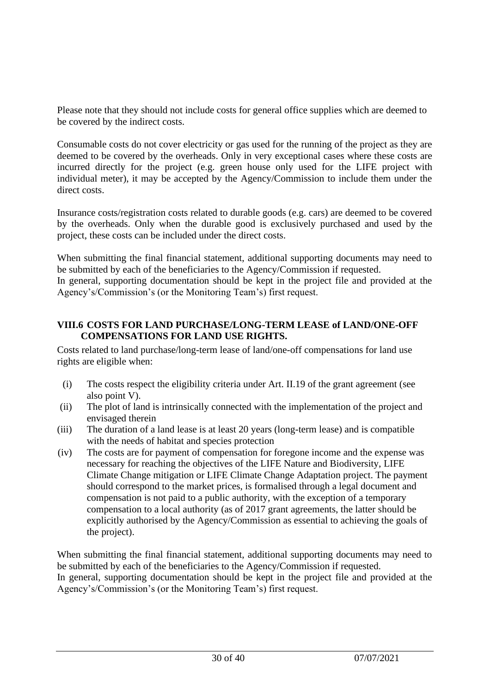Please note that they should not include costs for general office supplies which are deemed to be covered by the indirect costs.

Consumable costs do not cover electricity or gas used for the running of the project as they are deemed to be covered by the overheads. Only in very exceptional cases where these costs are incurred directly for the project (e.g. green house only used for the LIFE project with individual meter), it may be accepted by the Agency/Commission to include them under the direct costs.

Insurance costs/registration costs related to durable goods (e.g. cars) are deemed to be covered by the overheads. Only when the durable good is exclusively purchased and used by the project, these costs can be included under the direct costs.

When submitting the final financial statement, additional supporting documents may need to be submitted by each of the beneficiaries to the Agency/Commission if requested. In general, supporting documentation should be kept in the project file and provided at the

Agency's/Commission's (or the Monitoring Team's) first request.

### **VIII.6 COSTS FOR LAND PURCHASE/LONG-TERM LEASE of LAND/ONE-OFF COMPENSATIONS FOR LAND USE RIGHTS.**

Costs related to land purchase/long-term lease of land/one-off compensations for land use rights are eligible when:

- (i) The costs respect the eligibility criteria under Art. II.19 of the grant agreement (see also point V).
- (ii) The plot of land is intrinsically connected with the implementation of the project and envisaged therein
- (iii) The duration of a land lease is at least 20 years (long-term lease) and is compatible with the needs of habitat and species protection
- (iv) The costs are for payment of compensation for foregone income and the expense was necessary for reaching the objectives of the LIFE Nature and Biodiversity, LIFE Climate Change mitigation or LIFE Climate Change Adaptation project. The payment should correspond to the market prices, is formalised through a legal document and compensation is not paid to a public authority, with the exception of a temporary compensation to a local authority (as of 2017 grant agreements, the latter should be explicitly authorised by the Agency/Commission as essential to achieving the goals of the project).

When submitting the final financial statement, additional supporting documents may need to be submitted by each of the beneficiaries to the Agency/Commission if requested. In general, supporting documentation should be kept in the project file and provided at the Agency's/Commission's (or the Monitoring Team's) first request.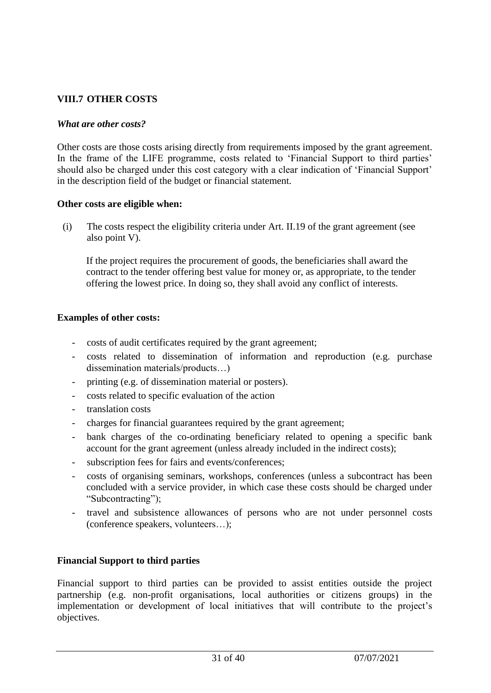## **VIII.7 OTHER COSTS**

### *What are other costs?*

Other costs are those costs arising directly from requirements imposed by the grant agreement. In the frame of the LIFE programme, costs related to 'Financial Support to third parties' should also be charged under this cost category with a clear indication of 'Financial Support' in the description field of the budget or financial statement.

### **Other costs are eligible when:**

(i) The costs respect the eligibility criteria under Art. II.19 of the grant agreement (see also point V).

If the project requires the procurement of goods, the beneficiaries shall award the contract to the tender offering best value for money or, as appropriate, to the tender offering the lowest price. In doing so, they shall avoid any conflict of interests.

### **Examples of other costs:**

- costs of audit certificates required by the grant agreement;
- costs related to dissemination of information and reproduction (e.g. purchase dissemination materials/products…)
- printing (e.g. of dissemination material or posters).
- costs related to specific evaluation of the action
- translation costs
- charges for financial guarantees required by the grant agreement;
- bank charges of the co-ordinating beneficiary related to opening a specific bank account for the grant agreement (unless already included in the indirect costs);
- subscription fees for fairs and events/conferences;
- costs of organising seminars, workshops, conferences (unless a subcontract has been concluded with a service provider, in which case these costs should be charged under "Subcontracting");
- travel and subsistence allowances of persons who are not under personnel costs (conference speakers, volunteers…);

### **Financial Support to third parties**

Financial support to third parties can be provided to assist entities outside the project partnership (e.g. non-profit organisations, local authorities or citizens groups) in the implementation or development of local initiatives that will contribute to the project's objectives.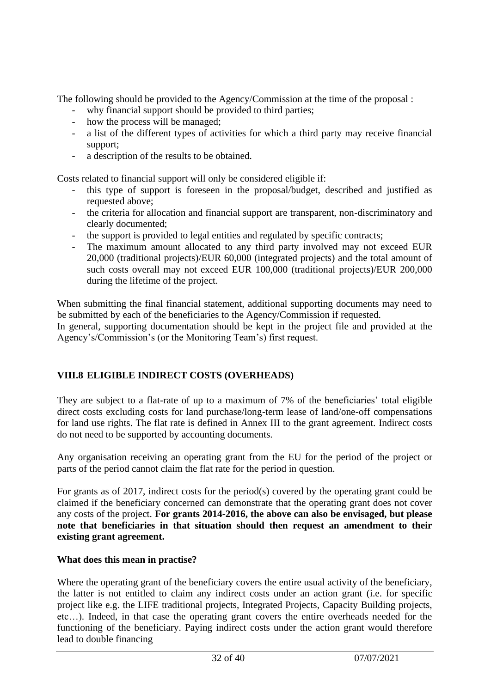The following should be provided to the Agency/Commission at the time of the proposal :

- why financial support should be provided to third parties;
- how the process will be managed;
- a list of the different types of activities for which a third party may receive financial support;
- a description of the results to be obtained.

Costs related to financial support will only be considered eligible if:

- this type of support is foreseen in the proposal/budget, described and justified as requested above;
- the criteria for allocation and financial support are transparent, non-discriminatory and clearly documented;
- the support is provided to legal entities and regulated by specific contracts;
- The maximum amount allocated to any third party involved may not exceed EUR 20,000 (traditional projects)/EUR 60,000 (integrated projects) and the total amount of such costs overall may not exceed EUR 100,000 (traditional projects)/EUR 200,000 during the lifetime of the project.

When submitting the final financial statement, additional supporting documents may need to be submitted by each of the beneficiaries to the Agency/Commission if requested.

In general, supporting documentation should be kept in the project file and provided at the Agency's/Commission's (or the Monitoring Team's) first request.

## **VIII.8 ELIGIBLE INDIRECT COSTS (OVERHEADS)**

They are subject to a flat-rate of up to a maximum of 7% of the beneficiaries' total eligible direct costs excluding costs for land purchase/long-term lease of land/one-off compensations for land use rights. The flat rate is defined in Annex III to the grant agreement. Indirect costs do not need to be supported by accounting documents.

Any organisation receiving an operating grant from the EU for the period of the project or parts of the period cannot claim the flat rate for the period in question.

For grants as of 2017, indirect costs for the period(s) covered by the operating grant could be claimed if the beneficiary concerned can demonstrate that the operating grant does not cover any costs of the project. **For grants 2014-2016, the above can also be envisaged, but please note that beneficiaries in that situation should then request an amendment to their existing grant agreement.**

### **What does this mean in practise?**

Where the operating grant of the beneficiary covers the entire usual activity of the beneficiary, the latter is not entitled to claim any indirect costs under an action grant (i.e. for specific project like e.g. the LIFE traditional projects, Integrated Projects, Capacity Building projects, etc…). Indeed, in that case the operating grant covers the entire overheads needed for the functioning of the beneficiary. Paying indirect costs under the action grant would therefore lead to double financing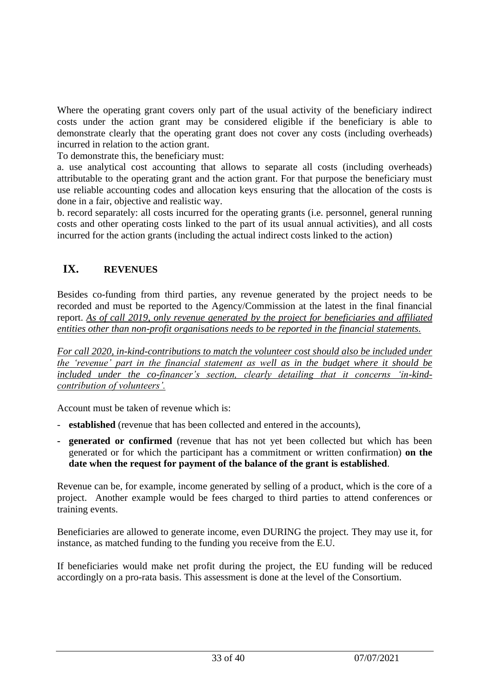Where the operating grant covers only part of the usual activity of the beneficiary indirect costs under the action grant may be considered eligible if the beneficiary is able to demonstrate clearly that the operating grant does not cover any costs (including overheads) incurred in relation to the action grant.

To demonstrate this, the beneficiary must:

a. use analytical cost accounting that allows to separate all costs (including overheads) attributable to the operating grant and the action grant. For that purpose the beneficiary must use reliable accounting codes and allocation keys ensuring that the allocation of the costs is done in a fair, objective and realistic way.

b. record separately: all costs incurred for the operating grants (i.e. personnel, general running costs and other operating costs linked to the part of its usual annual activities), and all costs incurred for the action grants (including the actual indirect costs linked to the action)

## **IX. REVENUES**

Besides co-funding from third parties, any revenue generated by the project needs to be recorded and must be reported to the Agency/Commission at the latest in the final financial report. *As of call 2019, only revenue generated by the project for beneficiaries and affiliated entities other than non-profit organisations needs to be reported in the financial statements.*

*For call 2020, in-kind-contributions to match the volunteer cost should also be included under the 'revenue' part in the financial statement as well as in the budget where it should be included under the co-financer's section, clearly detailing that it concerns 'in-kindcontribution of volunteers'.*

Account must be taken of revenue which is:

- **established** (revenue that has been collected and entered in the accounts),
- **- generated or confirmed** (revenue that has not yet been collected but which has been generated or for which the participant has a commitment or written confirmation) **on the date when the request for payment of the balance of the grant is established**.

Revenue can be, for example, income generated by selling of a product, which is the core of a project. Another example would be fees charged to third parties to attend conferences or training events.

Beneficiaries are allowed to generate income, even DURING the project. They may use it, for instance, as matched funding to the funding you receive from the E.U.

If beneficiaries would make net profit during the project, the EU funding will be reduced accordingly on a pro-rata basis. This assessment is done at the level of the Consortium.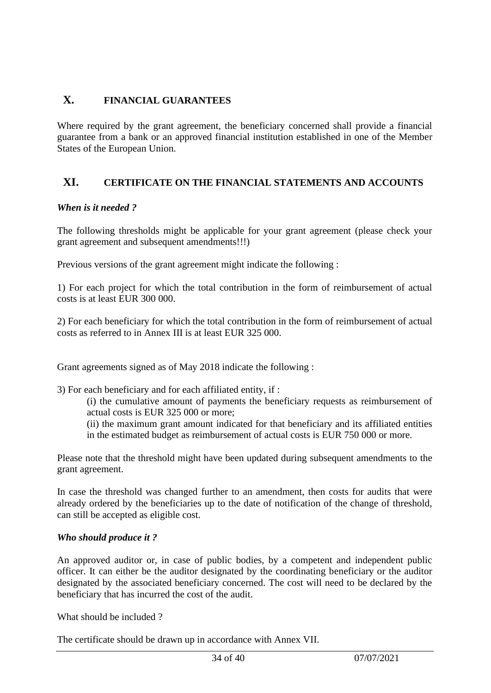## **X. FINANCIAL GUARANTEES**

Where required by the grant agreement, the beneficiary concerned shall provide a financial guarantee from a bank or an approved financial institution established in one of the Member States of the European Union.

## **XI. CERTIFICATE ON THE FINANCIAL STATEMENTS AND ACCOUNTS**

### *When is it needed ?*

The following thresholds might be applicable for your grant agreement (please check your grant agreement and subsequent amendments!!!)

Previous versions of the grant agreement might indicate the following :

1) For each project for which the total contribution in the form of reimbursement of actual costs is at least EUR 300 000.

2) For each beneficiary for which the total contribution in the form of reimbursement of actual costs as referred to in Annex III is at least EUR 325 000.

Grant agreements signed as of May 2018 indicate the following :

3) For each beneficiary and for each affiliated entity, if :

(i) the cumulative amount of payments the beneficiary requests as reimbursement of actual costs is EUR 325 000 or more;

(ii) the maximum grant amount indicated for that beneficiary and its affiliated entities in the estimated budget as reimbursement of actual costs is EUR 750 000 or more.

Please note that the threshold might have been updated during subsequent amendments to the grant agreement.

In case the threshold was changed further to an amendment, then costs for audits that were already ordered by the beneficiaries up to the date of notification of the change of threshold, can still be accepted as eligible cost.

### *Who should produce it ?*

An approved auditor or, in case of public bodies, by a competent and independent public officer. It can either be the auditor designated by the coordinating beneficiary or the auditor designated by the associated beneficiary concerned. The cost will need to be declared by the beneficiary that has incurred the cost of the audit.

What should be included ?

The certificate should be drawn up in accordance with Annex VII.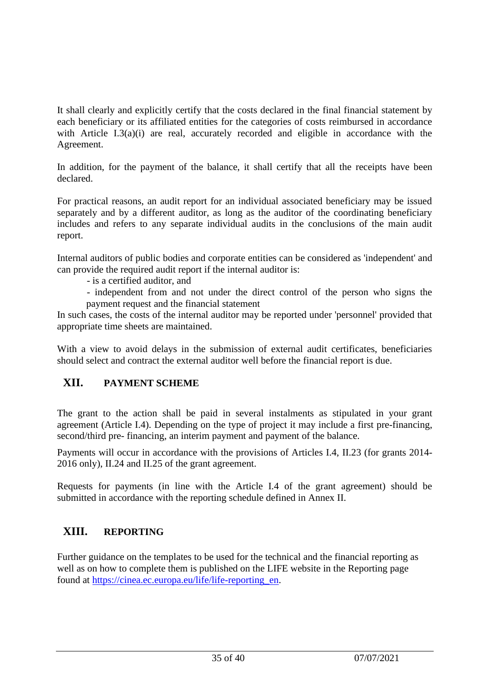It shall clearly and explicitly certify that the costs declared in the final financial statement by each beneficiary or its affiliated entities for the categories of costs reimbursed in accordance with Article I.3(a)(i) are real, accurately recorded and eligible in accordance with the Agreement.

In addition, for the payment of the balance, it shall certify that all the receipts have been declared.

For practical reasons, an audit report for an individual associated beneficiary may be issued separately and by a different auditor, as long as the auditor of the coordinating beneficiary includes and refers to any separate individual audits in the conclusions of the main audit report.

Internal auditors of public bodies and corporate entities can be considered as 'independent' and can provide the required audit report if the internal auditor is:

- is a certified auditor, and

- independent from and not under the direct control of the person who signs the payment request and the financial statement

In such cases, the costs of the internal auditor may be reported under 'personnel' provided that appropriate time sheets are maintained.

With a view to avoid delays in the submission of external audit certificates, beneficiaries should select and contract the external auditor well before the financial report is due.

## **XII. PAYMENT SCHEME**

The grant to the action shall be paid in several instalments as stipulated in your grant agreement (Article I.4). Depending on the type of project it may include a first pre-financing, second/third pre- financing, an interim payment and payment of the balance.

Payments will occur in accordance with the provisions of Articles I.4, II.23 (for grants 2014- 2016 only), II.24 and II.25 of the grant agreement.

Requests for payments (in line with the Article I.4 of the grant agreement) should be submitted in accordance with the reporting schedule defined in Annex II.

## **XIII. REPORTING**

Further guidance on the templates to be used for the technical and the financial reporting as well as on how to complete them is published on the LIFE website in the Reporting page found at [https://cinea.ec.europa.eu/life/life-reporting\\_en.](https://cinea.ec.europa.eu/life/life-reporting_en)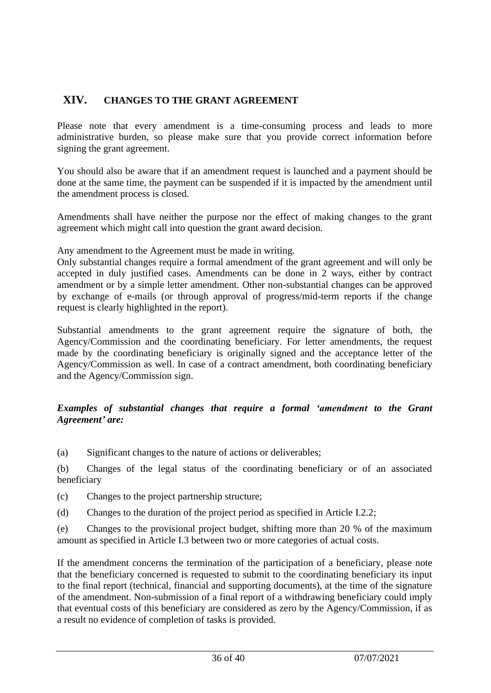## **XIV. CHANGES TO THE GRANT AGREEMENT**

Please note that every amendment is a time-consuming process and leads to more administrative burden, so please make sure that you provide correct information before signing the grant agreement.

You should also be aware that if an amendment request is launched and a payment should be done at the same time, the payment can be suspended if it is impacted by the amendment until the amendment process is closed.

Amendments shall have neither the purpose nor the effect of making changes to the grant agreement which might call into question the grant award decision.

Any amendment to the Agreement must be made in writing.

Only substantial changes require a formal amendment of the grant agreement and will only be accepted in duly justified cases. Amendments can be done in 2 ways, either by contract amendment or by a simple letter amendment. Other non-substantial changes can be approved by exchange of e-mails (or through approval of progress/mid-term reports if the change request is clearly highlighted in the report).

Substantial amendments to the grant agreement require the signature of both, the Agency/Commission and the coordinating beneficiary. For letter amendments, the request made by the coordinating beneficiary is originally signed and the acceptance letter of the Agency/Commission as well. In case of a contract amendment, both coordinating beneficiary and the Agency/Commission sign.

### *Examples of substantial changes that require a formal 'amendment to the Grant Agreement' are:*

(a) Significant changes to the nature of actions or deliverables;

(b) Changes of the legal status of the coordinating beneficiary or of an associated beneficiary

(c) Changes to the project partnership structure;

(d) Changes to the duration of the project period as specified in Article I.2.2;

(e) Changes to the provisional project budget, shifting more than 20 % of the maximum amount as specified in Article I.3 between two or more categories of actual costs.

If the amendment concerns the termination of the participation of a beneficiary, please note that the beneficiary concerned is requested to submit to the coordinating beneficiary its input to the final report (technical, financial and supporting documents), at the time of the signature of the amendment. Non-submission of a final report of a withdrawing beneficiary could imply that eventual costs of this beneficiary are considered as zero by the Agency/Commission, if as a result no evidence of completion of tasks is provided.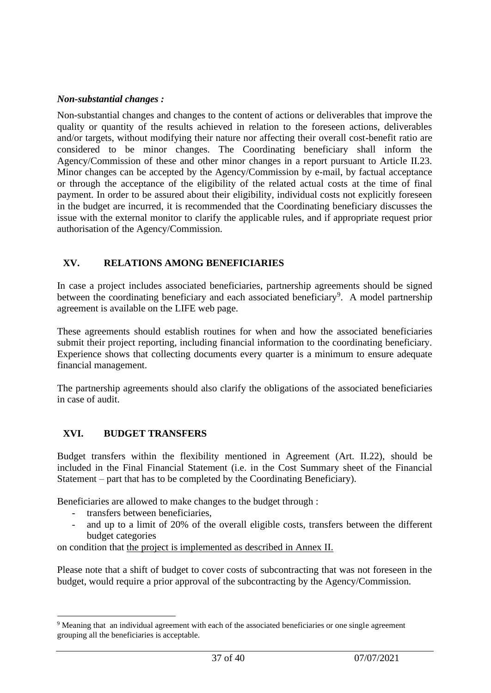### *Non-substantial changes :*

Non-substantial changes and changes to the content of actions or deliverables that improve the quality or quantity of the results achieved in relation to the foreseen actions, deliverables and/or targets, without modifying their nature nor affecting their overall cost-benefit ratio are considered to be minor changes. The Coordinating beneficiary shall inform the Agency/Commission of these and other minor changes in a report pursuant to Article II.23. Minor changes can be accepted by the Agency/Commission by e-mail, by factual acceptance or through the acceptance of the eligibility of the related actual costs at the time of final payment. In order to be assured about their eligibility, individual costs not explicitly foreseen in the budget are incurred, it is recommended that the Coordinating beneficiary discusses the issue with the external monitor to clarify the applicable rules, and if appropriate request prior authorisation of the Agency/Commission.

## **XV. RELATIONS AMONG BENEFICIARIES**

In case a project includes associated beneficiaries, partnership agreements should be signed between the coordinating beneficiary and each associated beneficiary<sup>9</sup>. A model partnership agreement is available on the LIFE web page.

These agreements should establish routines for when and how the associated beneficiaries submit their project reporting, including financial information to the coordinating beneficiary. Experience shows that collecting documents every quarter is a minimum to ensure adequate financial management.

The partnership agreements should also clarify the obligations of the associated beneficiaries in case of audit.

### **XVI. BUDGET TRANSFERS**

Budget transfers within the flexibility mentioned in Agreement (Art. II.22), should be included in the Final Financial Statement (i.e. in the Cost Summary sheet of the Financial Statement – part that has to be completed by the Coordinating Beneficiary).

Beneficiaries are allowed to make changes to the budget through :

- transfers between beneficiaries,
- and up to a limit of 20% of the overall eligible costs, transfers between the different budget categories

on condition that the project is implemented as described in Annex II.

Please note that a shift of budget to cover costs of subcontracting that was not foreseen in the budget, would require a prior approval of the subcontracting by the Agency/Commission.

<sup>9</sup> Meaning that an individual agreement with each of the associated beneficiaries or one single agreement grouping all the beneficiaries is acceptable.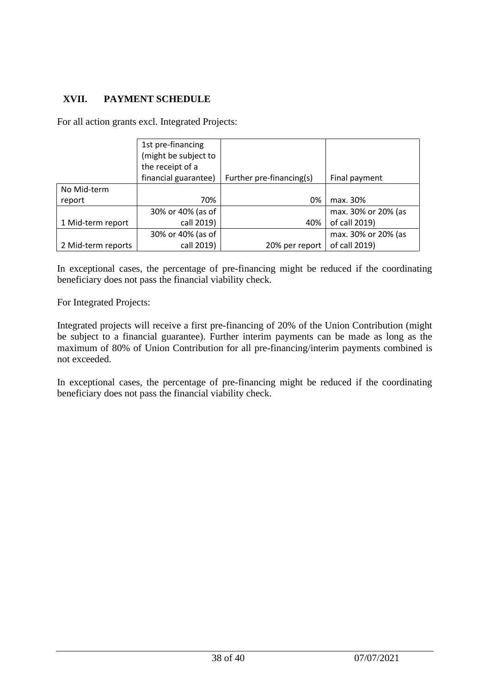## **XVII. PAYMENT SCHEDULE**

For all action grants excl. Integrated Projects:

|                    | 1st pre-financing    |                          |                     |
|--------------------|----------------------|--------------------------|---------------------|
|                    | (might be subject to |                          |                     |
|                    |                      |                          |                     |
|                    | the receipt of a     |                          |                     |
|                    | financial guarantee) | Further pre-financing(s) | Final payment       |
| No Mid-term        |                      |                          |                     |
| report             | 70%                  | 0%                       | max. 30%            |
|                    | 30% or 40% (as of    |                          | max. 30% or 20% (as |
| 1 Mid-term report  | call 2019)           | 40%                      | of call 2019)       |
|                    | 30% or 40% (as of    |                          | max. 30% or 20% (as |
| 2 Mid-term reports | call 2019)           | 20% per report           | of call 2019)       |

In exceptional cases, the percentage of pre-financing might be reduced if the coordinating beneficiary does not pass the financial viability check.

For Integrated Projects:

Integrated projects will receive a first pre-financing of 20% of the Union Contribution (might be subject to a financial guarantee). Further interim payments can be made as long as the maximum of 80% of Union Contribution for all pre-financing/interim payments combined is not exceeded.

In exceptional cases, the percentage of pre-financing might be reduced if the coordinating beneficiary does not pass the financial viability check.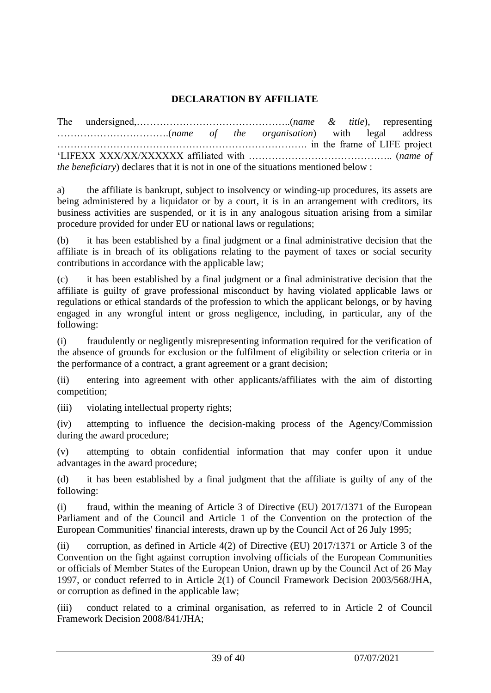### **DECLARATION BY AFFILIATE**

The undersigned,………………………………………..(*name & title*), representing …………………………….(*name of the organisation*) with legal address …………………………………………………………………. in the frame of LIFE project 'LIFEXX XXX/XX/XXXXXX affiliated with …………………………………….. (*name of the beneficiary*) declares that it is not in one of the situations mentioned below :

a) the affiliate is bankrupt, subject to insolvency or winding-up procedures, its assets are being administered by a liquidator or by a court, it is in an arrangement with creditors, its business activities are suspended, or it is in any analogous situation arising from a similar procedure provided for under EU or national laws or regulations;

(b) it has been established by a final judgment or a final administrative decision that the affiliate is in breach of its obligations relating to the payment of taxes or social security contributions in accordance with the applicable law;

(c) it has been established by a final judgment or a final administrative decision that the affiliate is guilty of grave professional misconduct by having violated applicable laws or regulations or ethical standards of the profession to which the applicant belongs, or by having engaged in any wrongful intent or gross negligence, including, in particular, any of the following:

(i) fraudulently or negligently misrepresenting information required for the verification of the absence of grounds for exclusion or the fulfilment of eligibility or selection criteria or in the performance of a contract, a grant agreement or a grant decision;

(ii) entering into agreement with other applicants/affiliates with the aim of distorting competition;

(iii) violating intellectual property rights;

(iv) attempting to influence the decision-making process of the Agency/Commission during the award procedure;

(v) attempting to obtain confidential information that may confer upon it undue advantages in the award procedure;

(d) it has been established by a final judgment that the affiliate is guilty of any of the following:

(i) fraud, within the meaning of Article 3 of Directive (EU) 2017/1371 of the European Parliament and of the Council and Article 1 of the Convention on the protection of the European Communities' financial interests, drawn up by the Council Act of 26 July 1995;

(ii) corruption, as defined in Article 4(2) of Directive (EU) 2017/1371 or Article 3 of the Convention on the fight against corruption involving officials of the European Communities or officials of Member States of the European Union, drawn up by the Council Act of 26 May 1997, or conduct referred to in Article 2(1) of Council Framework Decision 2003/568/JHA, or corruption as defined in the applicable law;

(iii) conduct related to a criminal organisation, as referred to in Article 2 of Council Framework Decision 2008/841/JHA;